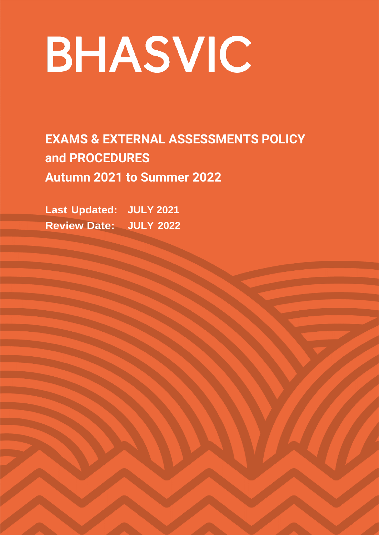# BHASVIC

**EXAMS & EXTERNAL ASSESSMENTS POLICY and PROCEDURES Autumn 2021 to Summer 2022**

**Last Updated: JULY 2021 Review Date: JULY 2022**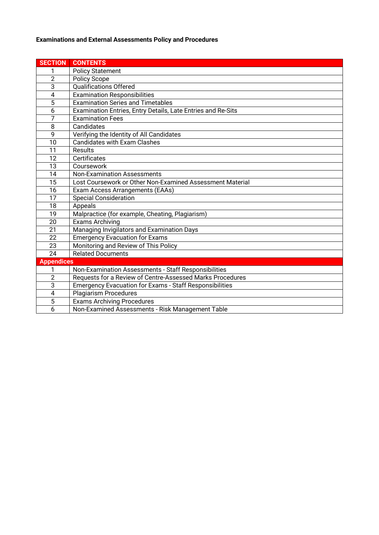# **Examinations and External Assessments Policy and Procedures**

| <b>SECTION</b>    | <b>CONTENTS</b>                                                |  |
|-------------------|----------------------------------------------------------------|--|
| 1                 | <b>Policy Statement</b>                                        |  |
| $\overline{2}$    | <b>Policy Scope</b>                                            |  |
| $\overline{3}$    | <b>Qualifications Offered</b>                                  |  |
| 4                 | <b>Examination Responsibilities</b>                            |  |
| 5                 | <b>Examination Series and Timetables</b>                       |  |
| 6                 | Examination Entries, Entry Details, Late Entries and Re-Sits   |  |
| $\overline{7}$    | <b>Examination Fees</b>                                        |  |
| 8                 | Candidates                                                     |  |
| $\overline{9}$    | Verifying the Identity of All Candidates                       |  |
| 10                | <b>Candidates with Exam Clashes</b>                            |  |
| 11                | Results                                                        |  |
| 12                | Certificates                                                   |  |
| 13                | Coursework                                                     |  |
| 14                | <b>Non-Examination Assessments</b>                             |  |
| 15                | Lost Coursework or Other Non-Examined Assessment Material      |  |
| 16                | Exam Access Arrangements (EAAs)                                |  |
| 17                | <b>Special Consideration</b>                                   |  |
| 18                | Appeals                                                        |  |
| 19                | Malpractice (for example, Cheating, Plagiarism)                |  |
| 20                | <b>Exams Archiving</b>                                         |  |
| 21                | Managing Invigilators and Examination Days                     |  |
| 22                | <b>Emergency Evacuation for Exams</b>                          |  |
| 23                | Monitoring and Review of This Policy                           |  |
| 24                | <b>Related Documents</b>                                       |  |
| <b>Appendices</b> |                                                                |  |
| 1                 | Non-Examination Assessments - Staff Responsibilities           |  |
| $\overline{2}$    | Requests for a Review of Centre-Assessed Marks Procedures      |  |
| $\overline{3}$    | <b>Emergency Evacuation for Exams - Staff Responsibilities</b> |  |
| 4                 | <b>Plagiarism Procedures</b>                                   |  |
| 5                 | <b>Exams Archiving Procedures</b>                              |  |
| 6                 | Non-Examined Assessments - Risk Management Table               |  |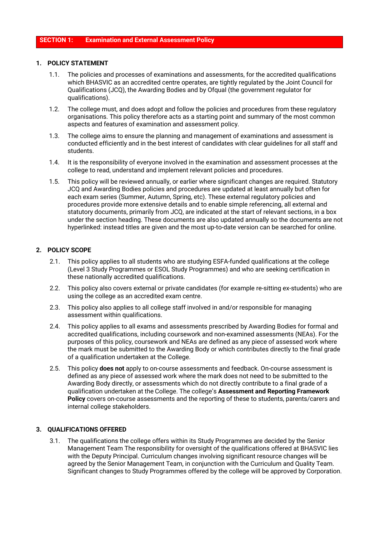#### **SECTION 1: Examination and External Assessment Policy**

#### **1. POLICY STATEMENT**

- 1.1. The policies and processes of examinations and assessments, for the accredited qualifications which BHASVIC as an accredited centre operates, are tightly regulated by the Joint Council for Qualifications (JCQ), the Awarding Bodies and by Ofqual (the government regulator for qualifications).
- 1.2. The college must, and does adopt and follow the policies and procedures from these regulatory organisations. This policy therefore acts as a starting point and summary of the most common aspects and features of examination and assessment policy.
- 1.3. The college aims to ensure the planning and management of examinations and assessment is conducted efficiently and in the best interest of candidates with clear guidelines for all staff and students.
- 1.4. It is the responsibility of everyone involved in the examination and assessment processes at the college to read, understand and implement relevant policies and procedures.
- 1.5. This policy will be reviewed annually, or earlier where significant changes are required. Statutory JCQ and Awarding Bodies policies and procedures are updated at least annually but often for each exam series (Summer, Autumn, Spring, etc). These external regulatory policies and procedures provide more extensive details and to enable simple referencing, all external and statutory documents, primarily from JCQ, are indicated at the start of relevant sections, in a box under the section heading. These documents are also updated annually so the documents are not hyperlinked: instead titles are given and the most up-to-date version can be searched for online.

#### **2. POLICY SCOPE**

- 2.1. This policy applies to all students who are studying ESFA-funded qualifications at the college (Level 3 Study Programmes or ESOL Study Programmes) and who are seeking certification in these nationally accredited qualifications.
- 2.2. This policy also covers external or private candidates (for example re-sitting ex-students) who are using the college as an accredited exam centre.
- 2.3. This policy also applies to all college staff involved in and/or responsible for managing assessment within qualifications.
- 2.4. This policy applies to all exams and assessments prescribed by Awarding Bodies for formal and accredited qualifications, including coursework and non-examined assessments (NEAs). For the purposes of this policy, coursework and NEAs are defined as any piece of assessed work where the mark must be submitted to the Awarding Body or which contributes directly to the final grade of a qualification undertaken at the College.
- 2.5. This policy **does not** apply to on-course assessments and feedback. On-course assessment is defined as any piece of assessed work where the mark does not need to be submitted to the Awarding Body directly, or assessments which do not directly contribute to a final grade of a qualification undertaken at the College. The college's **Assessment and Reporting Framework Policy** covers on-course assessments and the reporting of these to students, parents/carers and internal college stakeholders.

#### **3. QUALIFICATIONS OFFERED**

3.1. The qualifications the college offers within its Study Programmes are decided by the Senior Management Team The responsibility for oversight of the qualifications offered at BHASVIC lies with the Deputy Principal. Curriculum changes involving significant resource changes will be agreed by the Senior Management Team, in conjunction with the Curriculum and Quality Team. Significant changes to Study Programmes offered by the college will be approved by Corporation.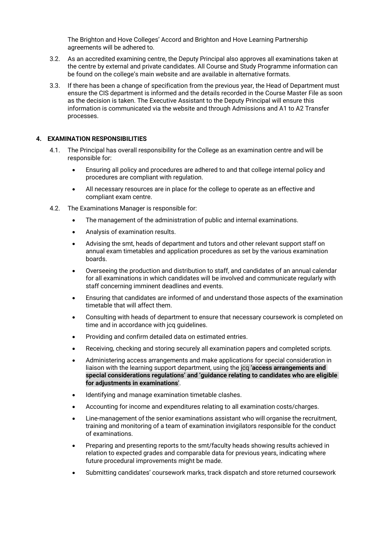The Brighton and Hove Colleges' Accord and Brighton and Hove Learning Partnership agreements will be adhered to.

- 3.2. As an accredited examining centre, the Deputy Principal also approves all examinations taken at the centre by external and private candidates. All Course and Study Programme information can be found on the college's main website and are available in alternative formats.
- 3.3. If there has been a change of specification from the previous year, the Head of Department must ensure the CIS department is informed and the details recorded in the Course Master File as soon as the decision is taken. The Executive Assistant to the Deputy Principal will ensure this information is communicated via the website and through Admissions and A1 to A2 Transfer processes.

# **4. EXAMINATION RESPONSIBILITIES**

- 4.1. The Principal has overall responsibility for the College as an examination centre and will be responsible for:
	- Ensuring all policy and procedures are adhered to and that college internal policy and procedures are compliant with regulation.
	- All necessary resources are in place for the college to operate as an effective and compliant exam centre.
- 4.2. The Examinations Manager is responsible for:
	- The management of the administration of public and internal examinations.
	- Analysis of examination results.
	- Advising the smt, heads of department and tutors and other relevant support staff on annual exam timetables and application procedures as set by the various examination boards.
	- Overseeing the production and distribution to staff, and candidates of an annual calendar for all examinations in which candidates will be involved and communicate regularly with staff concerning imminent deadlines and events.
	- Ensuring that candidates are informed of and understand those aspects of the examination timetable that will affect them.
	- Consulting with heads of department to ensure that necessary coursework is completed on time and in accordance with jcq guidelines.
	- Providing and confirm detailed data on estimated entries.
	- Receiving, checking and storing securely all examination papers and completed scripts.
	- Administering access arrangements and make applications for special consideration in liaison with the learning support department, using the jcq '**access arrangements and special considerations regulations' and 'guidance relating to candidates who are eligible for adjustments in examinations**'.
	- Identifying and manage examination timetable clashes.
	- Accounting for income and expenditures relating to all examination costs/charges.
	- Line-management of the senior examinations assistant who will organise the recruitment, training and monitoring of a team of examination invigilators responsible for the conduct of examinations.
	- Preparing and presenting reports to the smt/faculty heads showing results achieved in relation to expected grades and comparable data for previous years, indicating where future procedural improvements might be made.
	- Submitting candidates' coursework marks, track dispatch and store returned coursework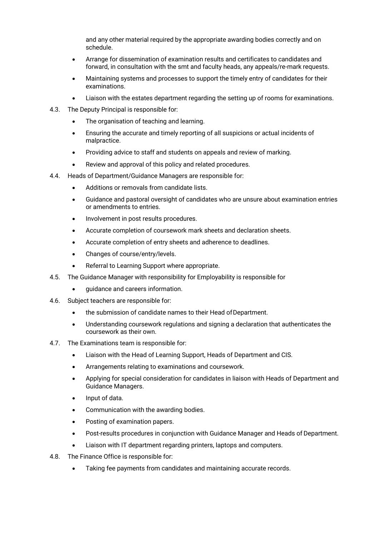and any other material required by the appropriate awarding bodies correctly and on schedule.

- Arrange for dissemination of examination results and certificates to candidates and forward, in consultation with the smt and faculty heads, any appeals/re-mark requests.
- Maintaining systems and processes to support the timely entry of candidates for their examinations.
- Liaison with the estates department regarding the setting up of rooms for examinations.
- 4.3. The Deputy Principal is responsible for:
	- The organisation of teaching and learning.
	- Ensuring the accurate and timely reporting of all suspicions or actual incidents of malpractice.
	- Providing advice to staff and students on appeals and review of marking.
	- Review and approval of this policy and related procedures.
- 4.4. Heads of Department/Guidance Managers are responsible for:
	- Additions or removals from candidate lists.
	- Guidance and pastoral oversight of candidates who are unsure about examination entries or amendments to entries.
	- Involvement in post results procedures.
	- Accurate completion of coursework mark sheets and declaration sheets.
	- Accurate completion of entry sheets and adherence to deadlines.
	- Changes of course/entry/levels.
	- Referral to Learning Support where appropriate.
- 4.5. The Guidance Manager with responsibility for Employability is responsible for
	- guidance and careers information.
- 4.6. Subject teachers are responsible for:
	- the submission of candidate names to their Head ofDepartment.
	- Understanding coursework regulations and signing a declaration that authenticates the coursework as their own.
- 4.7. The Examinations team is responsible for:
	- Liaison with the Head of Learning Support, Heads of Department and CIS.
	- Arrangements relating to examinations and coursework.
	- Applying for special consideration for candidates in liaison with Heads of Department and Guidance Managers.
	- Input of data.
	- Communication with the awarding bodies.
	- Posting of examination papers.
	- Post-results procedures in conjunction with Guidance Manager and Heads of Department.
	- Liaison with IT department regarding printers, laptops and computers.
- 4.8. The Finance Office is responsible for:
	- Taking fee payments from candidates and maintaining accurate records.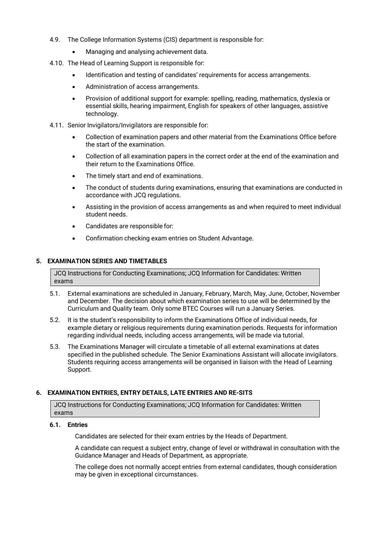- 4.9. The College Information Systems (CIS) department is responsible for:
	- Managing and analysing achievement data.
- 4.10. The Head of Learning Support is responsible for:
	- Identification and testing of candidates' requirements for access arrangements.
	- Administration of access arrangements.
	- Provision of additional support for example: spelling, reading, mathematics, dyslexia or essential skills, hearing impairment, English for speakers of other languages, assistive technology.
- 4.11. Senior Invigilators/Invigilators are responsible for:
	- Collection of examination papers and other material from the Examinations Office before the start of the examination.
	- Collection of all examination papers in the correct order at the end of the examination and their return to the Examinations Office.
	- The timely start and end of examinations.
	- The conduct of students during examinations, ensuring that examinations are conducted in accordance with JCQ regulations.
	- Assisting in the provision of access arrangements as and when required to meet individual student needs.
	- Candidates are responsible for:
	- Confirmation checking exam entries on Student Advantage.

# **5. EXAMINATION SERIES AND TIMETABLES**

JCQ Instructions for Conducting Examinations; JCQ Information for Candidates: Written exams

- 5.1. External examinations are scheduled in January, February, March, May, June, October, November and December. The decision about which examination series to use will be determined by the Curriculum and Quality team. Only some BTEC Courses will run a January Series.
- 5.2. It is the student's responsibility to inform the Examinations Office of individual needs, for example dietary or religious requirements during examination periods. Requests for information regarding individual needs, including access arrangements, will be made via tutorial.
- 5.3. The Examinations Manager will circulate a timetable of all external examinations at dates specified in the published schedule. The Senior Examinations Assistant will allocate invigilators. Students requiring access arrangements will be organised in liaison with the Head of Learning Support.

# **6. EXAMINATION ENTRIES, ENTRY DETAILS, LATE ENTRIES AND RE-SITS**

JCQ Instructions for Conducting Examinations; JCQ Information for Candidates: Written exams

# **6.1. Entries**

Candidates are selected for their exam entries by the Heads of Department.

A candidate can request a subject entry, change of level or withdrawal in consultation with the Guidance Manager and Heads of Department, as appropriate.

The college does not normally accept entries from external candidates, though consideration may be given in exceptional circumstances.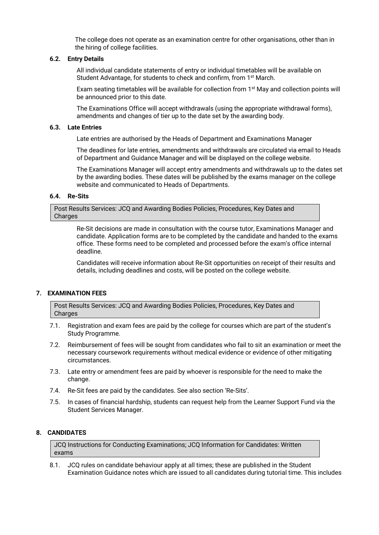The college does not operate as an examination centre for other organisations, other than in the hiring of college facilities.

# **6.2. Entry Details**

All individual candidate statements of entry or individual timetables will be available on Student Advantage, for students to check and confirm, from 1<sup>st</sup> March.

Exam seating timetables will be available for collection from  $1<sup>st</sup>$  May and collection points will be announced prior to this date.

The Examinations Office will accept withdrawals (using the appropriate withdrawal forms), amendments and changes of tier up to the date set by the awarding body.

#### **6.3. Late Entries**

Late entries are authorised by the Heads of Department and Examinations Manager

The deadlines for late entries, amendments and withdrawals are circulated via email to Heads of Department and Guidance Manager and will be displayed on the college website.

The Examinations Manager will accept entry amendments and withdrawals up to the dates set by the awarding bodies. These dates will be published by the exams manager on the college website and communicated to Heads of Departments.

#### **6.4. Re-Sits**

Post Results Services: JCQ and Awarding Bodies Policies, Procedures, Key Dates and Charges

Re-Sit decisions are made in consultation with the course tutor, Examinations Manager and candidate. Application forms are to be completed by the candidate and handed to the exams office. These forms need to be completed and processed before the exam's office internal deadline.

Candidates will receive information about Re-Sit opportunities on receipt of their results and details, including deadlines and costs, will be posted on the college website.

# **7. EXAMINATION FEES**

Post Results Services: JCQ and Awarding Bodies Policies, Procedures, Key Dates and Charges

- 7.1. Registration and exam fees are paid by the college for courses which are part of the student's Study Programme.
- 7.2. Reimbursement of fees will be sought from candidates who fail to sit an examination or meet the necessary coursework requirements without medical evidence or evidence of other mitigating circumstances.
- 7.3. Late entry or amendment fees are paid by whoever is responsible for the need to make the change.
- 7.4. Re-Sit fees are paid by the candidates. See also section 'Re-Sits'.
- 7.5. In cases of financial hardship, students can request help from the Learner Support Fund via the Student Services Manager.

# **8. CANDIDATES**

JCQ Instructions for Conducting Examinations; JCQ Information for Candidates: Written exams

8.1. JCQ rules on candidate behaviour apply at all times; these are published in the Student Examination Guidance notes which are issued to all candidates during tutorial time. This includes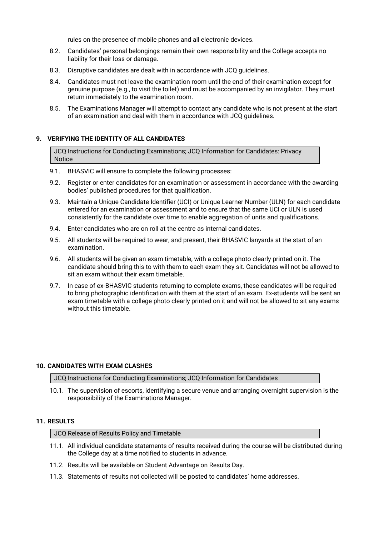rules on the presence of mobile phones and all electronic devices.

- 8.2. Candidates' personal belongings remain their own responsibility and the College accepts no liability for their loss or damage.
- 8.3. Disruptive candidates are dealt with in accordance with JCQ guidelines.
- 8.4. Candidates must not leave the examination room until the end of their examination except for genuine purpose (e.g., to visit the toilet) and must be accompanied by an invigilator. They must return immediately to the examination room.
- 8.5. The Examinations Manager will attempt to contact any candidate who is not present at the start of an examination and deal with them in accordance with JCQ guidelines.

# **9. VERIFYING THE IDENTITY OF ALL CANDIDATES**

JCQ Instructions for Conducting Examinations; JCQ Information for Candidates: Privacy **Notice** 

- 9.1. BHASVIC will ensure to complete the following processes:
- 9.2. Register or enter candidates for an examination or assessment in accordance with the awarding bodies' published procedures for that qualification.
- 9.3. Maintain a Unique Candidate Identifier (UCI) or Unique Learner Number (ULN) for each candidate entered for an examination or assessment and to ensure that the same UCI or ULN is used consistently for the candidate over time to enable aggregation of units and qualifications.
- 9.4. Enter candidates who are on roll at the centre as internal candidates.
- 9.5. All students will be required to wear, and present, their BHASVIC lanyards at the start of an examination.
- 9.6. All students will be given an exam timetable, with a college photo clearly printed on it. The candidate should bring this to with them to each exam they sit. Candidates will not be allowed to sit an exam without their exam timetable.
- 9.7. In case of ex-BHASVIC students returning to complete exams, these candidates will be required to bring photographic identification with them at the start of an exam. Ex-students will be sent an exam timetable with a college photo clearly printed on it and will not be allowed to sit any exams without this timetable.

# **10. CANDIDATES WITH EXAM CLASHES**

JCQ Instructions for Conducting Examinations; JCQ Information for Candidates

10.1. The supervision of escorts, identifying a secure venue and arranging overnight supervision is the responsibility of the Examinations Manager.

# **11. RESULTS**

JCQ Release of Results Policy and Timetable

- 11.1. All individual candidate statements of results received during the course will be distributed during the College day at a time notified to students in advance.
- 11.2. Results will be available on Student Advantage on Results Day.
- 11.3. Statements of results not collected will be posted to candidates' home addresses.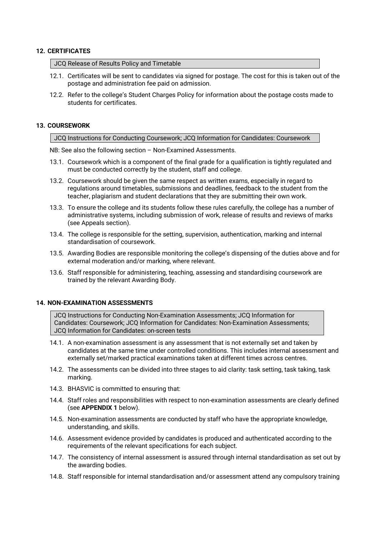# **12. CERTIFICATES**

JCQ Release of Results Policy and Timetable

- 12.1. Certificates will be sent to candidates via signed for postage. The cost for this is taken out of the postage and administration fee paid on admission.
- 12.2. Refer to the college's Student Charges Policy for information about the postage costs made to students for certificates.

#### **13. COURSEWORK**

JCQ Instructions for Conducting Coursework; JCQ Information for Candidates: Coursework

NB: See also the following section – Non-Examined Assessments.

- 13.1. Coursework which is a component of the final grade for a qualification is tightly regulated and must be conducted correctly by the student, staff and college.
- 13.2. Coursework should be given the same respect as written exams, especially in regard to regulations around timetables, submissions and deadlines, feedback to the student from the teacher, plagiarism and student declarations that they are submitting their own work.
- 13.3. To ensure the college and its students follow these rules carefully, the college has a number of administrative systems, including submission of work, release of results and reviews of marks (see Appeals section).
- 13.4. The college is responsible for the setting, supervision, authentication, marking and internal standardisation of coursework.
- 13.5. Awarding Bodies are responsible monitoring the college's dispensing of the duties above and for external moderation and/or marking, where relevant.
- 13.6. Staff responsible for administering, teaching, assessing and standardising coursework are trained by the relevant Awarding Body.

# **14. NON-EXAMINATION ASSESSMENTS**

JCQ Instructions for Conducting Non-Examination Assessments; JCQ Information for Candidates: Coursework; JCQ Information for Candidates: Non-Examination Assessments; JCQ Information for Candidates: on-screen tests

- 14.1. A non-examination assessment is any assessment that is not externally set and taken by candidates at the same time under controlled conditions. This includes internal assessment and externally set/marked practical examinations taken at different times across centres.
- 14.2. The assessments can be divided into three stages to aid clarity: task setting, task taking, task marking.
- 14.3. BHASVIC is committed to ensuring that:
- 14.4. Staff roles and responsibilities with respect to non-examination assessments are clearly defined (see **APPENDIX 1** below).
- 14.5. Non-examination assessments are conducted by staff who have the appropriate knowledge, understanding, and skills.
- 14.6. Assessment evidence provided by candidates is produced and authenticated according to the requirements of the relevant specifications for each subject.
- 14.7. The consistency of internal assessment is assured through internal standardisation as set out by the awarding bodies.
- 14.8. Staff responsible for internal standardisation and/or assessment attend any compulsory training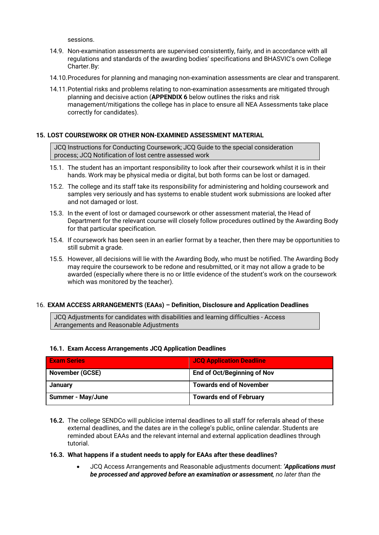sessions.

- 14.9. Non-examination assessments are supervised consistently, fairly, and in accordance with all regulations and standards of the awarding bodies' specifications and BHASVIC's own College Charter.By:
- 14.10.Procedures for planning and managing non-examination assessments are clear and transparent.
- 14.11.Potential risks and problems relating to non-examination assessments are mitigated through planning and decisive action (**APPENDIX 6** below outlines the risks and risk management/mitigations the college has in place to ensure all NEA Assessments take place correctly for candidates).

# **15. LOST COURSEWORK OR OTHER NON-EXAMINED ASSESSMENT MATERIAL**

JCQ Instructions for Conducting Coursework; JCQ Guide to the special consideration process; JCQ Notification of lost centre assessed work

- 15.1. The student has an important responsibility to look after their coursework whilst it is in their hands. Work may be physical media or digital, but both forms can be lost or damaged.
- 15.2. The college and its staff take its responsibility for administering and holding coursework and samples very seriously and has systems to enable student work submissions are looked after and not damaged or lost.
- 15.3. In the event of lost or damaged coursework or other assessment material, the Head of Department for the relevant course will closely follow procedures outlined by the Awarding Body for that particular specification.
- 15.4. If coursework has been seen in an earlier format by a teacher, then there may be opportunities to still submit a grade.
- 15.5. However, all decisions will lie with the Awarding Body, who must be notified. The Awarding Body may require the coursework to be redone and resubmitted, or it may not allow a grade to be awarded (especially where there is no or little evidence of the student's work on the coursework which was monitored by the teacher).

# 16. **EXAM ACCESS ARRANGEMENTS (EAAs) – Definition, Disclosure and Application Deadlines**

JCQ Adjustments for candidates with disabilities and learning difficulties - Access Arrangements and Reasonable Adjustments

| <b>Exam Series</b>       | <b>JCQ Application Deadline</b>    |
|--------------------------|------------------------------------|
| <b>November (GCSE)</b>   | <b>End of Oct/Beginning of Nov</b> |
| <b>January</b>           | <b>Towards end of November</b>     |
| <b>Summer - May/June</b> | <b>Towards end of February</b>     |

# **16.1. Exam Access Arrangements JCQ Application Deadlines**

**16.2.** The college SENDCo will publicise internal deadlines to all staff for referrals ahead of these external deadlines, and the dates are in the college's public, online calendar. Students are reminded about EAAs and the relevant internal and external application deadlines through tutorial.

# **16.3. What happens if a student needs to apply for EAAs after these deadlines?**

• JCQ Access Arrangements and Reasonable adjustments document: *'Applications must be processed and approved before an examination or assessment, no later than the*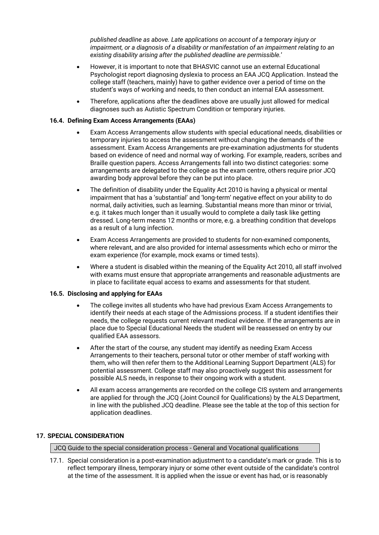*published deadline as above. Late applications on account of a temporary injury or impairment, or a diagnosis of a disability or manifestation of an impairment relating to an existing disability arising after the published deadline are permissible.*'

- However, it is important to note that BHASVIC cannot use an external Educational Psychologist report diagnosing dyslexia to process an EAA JCQ Application. Instead the college staff (teachers, mainly) have to gather evidence over a period of time on the student's ways of working and needs, to then conduct an internal EAA assessment.
- Therefore, applications after the deadlines above are usually just allowed for medical diagnoses such as Autistic Spectrum Condition or temporary injuries.

# **16.4. Defining Exam Access Arrangements (EAAs)**

- Exam Access Arrangements allow students with special educational needs, disabilities or temporary injuries to access the assessment without changing the demands of the assessment. Exam Access Arrangements are pre-examination adjustments for students based on evidence of need and normal way of working. For example, readers, scribes and Braille question papers. Access Arrangements fall into two distinct categories: some arrangements are delegated to the college as the exam centre, others require prior JCQ awarding body approval before they can be put into place.
- The definition of disability under the Equality Act 2010 is having a physical or mental impairment that has a 'substantial' and 'long-term' negative effect on your ability to do normal, daily activities, such as learning. Substantial means more than minor or trivial, e.g. it takes much longer than it usually would to complete a daily task like getting dressed. Long-term means 12 months or more, e.g. a breathing condition that develops as a result of a lung infection.
- Exam Access Arrangements are provided to students for non-examined components, where relevant, and are also provided for internal assessments which echo or mirror the exam experience (for example, mock exams or timed tests).
- Where a student is disabled within the meaning of the Equality Act 2010, all staff involved with exams must ensure that appropriate arrangements and reasonable adjustments are in place to facilitate equal access to exams and assessments for that student.

# **16.5. Disclosing and applying for EAAs**

- The college invites all students who have had previous Exam Access Arrangements to identify their needs at each stage of the Admissions process. If a student identifies their needs, the college requests current relevant medical evidence. If the arrangements are in place due to Special Educational Needs the student will be reassessed on entry by our qualified EAA assessors.
- After the start of the course, any student may identify as needing Exam Access Arrangements to their teachers, personal tutor or other member of staff working with them, who will then refer them to the Additional Learning Support Department (ALS) for potential assessment. College staff may also proactively suggest this assessment for possible ALS needs, in response to their ongoing work with a student.
- All exam access arrangements are recorded on the college CIS system and arrangements are applied for through the JCQ (Joint Council for Qualifications) by the ALS Department, in line with the published JCQ deadline. Please see the table at the top of this section for application deadlines.

# **17. SPECIAL CONSIDERATION**

JCQ Guide to the special consideration process - General and Vocational qualifications

17.1. Special consideration is a post-examination adjustment to a candidate's mark or grade. This is to reflect temporary illness, temporary injury or some other event outside of the candidate's control at the time of the assessment. It is applied when the issue or event has had, or is reasonably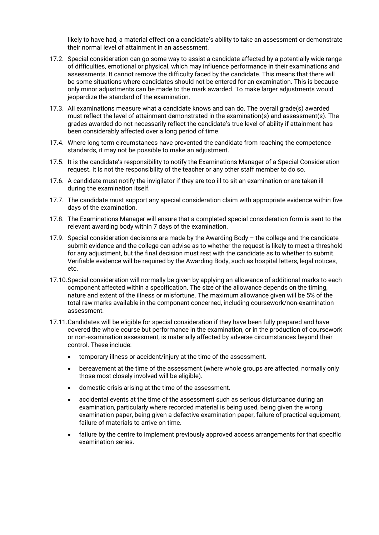likely to have had, a material effect on a candidate's ability to take an assessment or demonstrate their normal level of attainment in an assessment.

- 17.2. Special consideration can go some way to assist a candidate affected by a potentially wide range of difficulties, emotional or physical, which may influence performance in their examinations and assessments. It cannot remove the difficulty faced by the candidate. This means that there will be some situations where candidates should not be entered for an examination. This is because only minor adjustments can be made to the mark awarded. To make larger adjustments would jeopardize the standard of the examination.
- 17.3. All examinations measure what a candidate knows and can do. The overall grade(s) awarded must reflect the level of attainment demonstrated in the examination(s) and assessment(s). The grades awarded do not necessarily reflect the candidate's true level of ability if attainment has been considerably affected over a long period of time.
- 17.4. Where long term circumstances have prevented the candidate from reaching the competence standards, it may not be possible to make an adjustment.
- 17.5. It is the candidate's responsibility to notify the Examinations Manager of a Special Consideration request. It is not the responsibility of the teacher or any other staff member to do so.
- 17.6. A candidate must notify the invigilator if they are too ill to sit an examination or are taken ill during the examination itself.
- 17.7. The candidate must support any special consideration claim with appropriate evidence within five days of the examination.
- 17.8. The Examinations Manager will ensure that a completed special consideration form is sent to the relevant awarding body within 7 days of the examination.
- 17.9. Special consideration decisions are made by the Awarding Body the college and the candidate submit evidence and the college can advise as to whether the request is likely to meet a threshold for any adjustment, but the final decision must rest with the candidate as to whether to submit. Verifiable evidence will be required by the Awarding Body, such as hospital letters, legal notices, etc.
- 17.10.Special consideration will normally be given by applying an allowance of additional marks to each component affected within a specification. The size of the allowance depends on the timing, nature and extent of the illness or misfortune. The maximum allowance given will be 5% of the total raw marks available in the component concerned, including coursework/non-examination assessment.
- 17.11.Candidates will be eligible for special consideration if they have been fully prepared and have covered the whole course but performance in the examination, or in the production of coursework or non-examination assessment, is materially affected by adverse circumstances beyond their control. These include:
	- temporary illness or accident/injury at the time of the assessment.
	- bereavement at the time of the assessment (where whole groups are affected, normally only those most closely involved will be eligible).
	- domestic crisis arising at the time of the assessment.
	- accidental events at the time of the assessment such as serious disturbance during an examination, particularly where recorded material is being used, being given the wrong examination paper, being given a defective examination paper, failure of practical equipment, failure of materials to arrive on time.
	- failure by the centre to implement previously approved access arrangements for that specific examination series.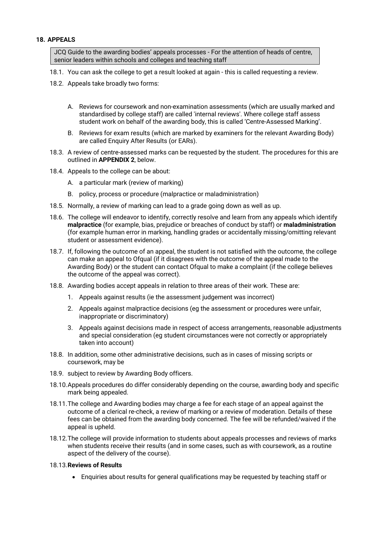#### **18. APPEALS**

JCQ Guide to the awarding bodies' appeals processes - For the attention of heads of centre, senior leaders within schools and colleges and teaching staff

- 18.1. You can ask the college to get a result looked at again this is called requesting a review.
- 18.2. Appeals take broadly two forms:
	- A. Reviews for coursework and non-examination assessments (which are usually marked and standardised by college staff) are called 'internal reviews'. Where college staff assess student work on behalf of the awarding body, this is called 'Centre-Assessed Marking'.
	- B. Reviews for exam results (which are marked by examiners for the relevant Awarding Body) are called Enquiry After Results (or EARs).
- 18.3. A review of centre-assessed marks can be requested by the student. The procedures for this are outlined in **APPENDIX 2**, below.
- 18.4. Appeals to the college can be about:
	- A. a particular mark (review of marking)
	- B. policy, process or procedure (malpractice or maladministration)
- 18.5. Normally, a review of marking can lead to a grade going down as well as up.
- 18.6. The college will endeavor to identify, correctly resolve and learn from any appeals which identify **malpractice** (for example, bias, prejudice or breaches of conduct by staff) or **maladministration** (for example human error in marking, handling grades or accidentally missing/omitting relevant student or assessment evidence).
- 18.7. If, following the outcome of an appeal, the student is not satisfied with the outcome, the college can make an appeal to Ofqual (if it disagrees with the outcome of the appeal made to the Awarding Body) or the student can contact Ofqual to make a complaint (if the college believes the outcome of the appeal was correct).
- 18.8. Awarding bodies accept appeals in relation to three areas of their work. These are:
	- 1. Appeals against results (ie the assessment judgement was incorrect)
	- 2. Appeals against malpractice decisions (eg the assessment or procedures were unfair, inappropriate or discriminatory)
	- 3. Appeals against decisions made in respect of access arrangements, reasonable adjustments and special consideration (eg student circumstances were not correctly or appropriately taken into account)
- 18.8. In addition, some other administrative decisions, such as in cases of missing scripts or coursework, may be
- 18.9. subject to review by Awarding Body officers.
- 18.10.Appeals procedures do differ considerably depending on the course, awarding body and specific mark being appealed.
- 18.11.The college and Awarding bodies may charge a fee for each stage of an appeal against the outcome of a clerical re-check, a review of marking or a review of moderation. Details of these fees can be obtained from the awarding body concerned. The fee will be refunded/waived if the appeal is upheld.
- 18.12.The college will provide information to students about appeals processes and reviews of marks when students receive their results (and in some cases, such as with coursework, as a routine aspect of the delivery of the course).

#### 18.13.**Reviews of Results**

• Enquiries about results for general qualifications may be requested by teaching staff or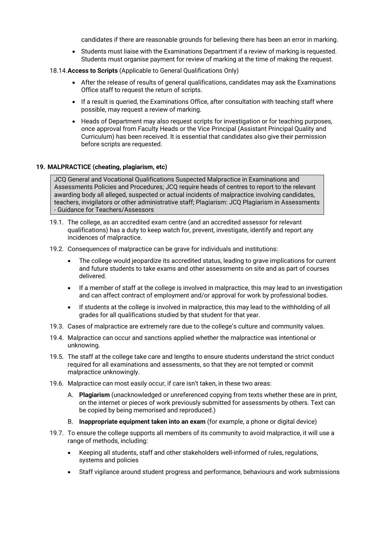candidates if there are reasonable grounds for believing there has been an error in marking.

- Students must liaise with the Examinations Department if a review of marking is requested. Students must organise payment for review of marking at the time of making the request.
- 18.14.**Access to Scripts** (Applicable to General Qualifications Only)
	- After the release of results of general qualifications, candidates may ask the Examinations Office staff to request the return of scripts.
	- If a result is queried, the Examinations Office, after consultation with teaching staff where possible, may request a review of marking.
	- Heads of Department may also request scripts for investigation or for teaching purposes, once approval from Faculty Heads or the Vice Principal (Assistant Principal Quality and Curriculum) has been received. It is essential that candidates also give their permission before scripts are requested.

# **19. MALPRACTICE (cheating, plagiarism, etc)**

JCQ General and Vocational Qualifications Suspected Malpractice in Examinations and Assessments Policies and Procedures; JCQ require heads of centres to report to the relevant awarding body all alleged, suspected or actual incidents of malpractice involving candidates, teachers, invigilators or other administrative staff; Plagiarism: JCQ Plagiarism in Assessments - Guidance for Teachers/Assessors

- 19.1. The college, as an accredited exam centre (and an accredited assessor for relevant qualifications) has a duty to keep watch for, prevent, investigate, identify and report any incidences of malpractice.
- 19.2. Consequences of malpractice can be grave for individuals and institutions:
	- The college would jeopardize its accredited status, leading to grave implications for current and future students to take exams and other assessments on site and as part of courses delivered.
	- If a member of staff at the college is involved in malpractice, this may lead to an investigation and can affect contract of employment and/or approval for work by professional bodies.
	- If students at the college is involved in malpractice, this may lead to the withholding of all grades for all qualifications studied by that student for that year.
- 19.3. Cases of malpractice are extremely rare due to the college's culture and community values.
- 19.4. Malpractice can occur and sanctions applied whether the malpractice was intentional or unknowing.
- 19.5. The staff at the college take care and lengths to ensure students understand the strict conduct required for all examinations and assessments, so that they are not tempted or commit malpractice unknowingly.
- 19.6. Malpractice can most easily occur, if care isn't taken, in these two areas:
	- A. **Plagiarism** (unacknowledged or unreferenced copying from texts whether these are in print, on the internet or pieces of work previously submitted for assessments by others. Text can be copied by being memorised and reproduced.)
	- B. **Inappropriate equipment taken into an exam** (for example, a phone or digital device)
- 19.7. To ensure the college supports all members of its community to avoid malpractice, it will use a range of methods, including:
	- Keeping all students, staff and other stakeholders well-informed of rules, regulations, systems and policies
	- Staff vigilance around student progress and performance, behaviours and work submissions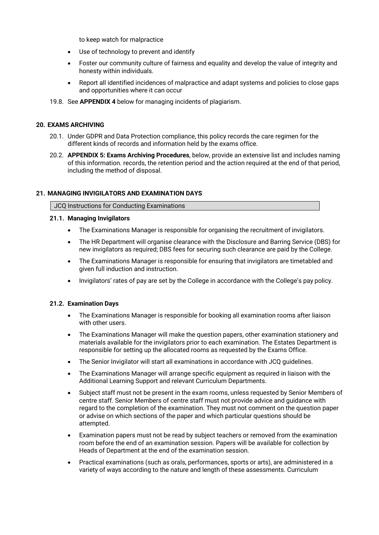to keep watch for malpractice

- Use of technology to prevent and identify
- Foster our community culture of fairness and equality and develop the value of integrity and honesty within individuals.
- Report all identified incidences of malpractice and adapt systems and policies to close gaps and opportunities where it can occur
- 19.8. See **APPENDIX 4** below for managing incidents of plagiarism.

# **20. EXAMS ARCHIVING**

- 20.1. Under GDPR and Data Protection compliance, this policy records the care regimen for the different kinds of records and information held by the exams office.
- 20.2. **APPENDIX 5: Exams Archiving Procedures**, below, provide an extensive list and includes naming of this information. records, the retention period and the action required at the end of that period, including the method of disposal.

# **21. MANAGING INVIGILATORS AND EXAMINATION DAYS**

#### JCQ Instructions for Conducting Examinations

#### **21.1. Managing Invigilators**

- The Examinations Manager is responsible for organising the recruitment of invigilators.
- The HR Department will organise clearance with the Disclosure and Barring Service (DBS) for new invigilators as required; DBS fees for securing such clearance are paid by the College.
- The Examinations Manager is responsible for ensuring that invigilators are timetabled and given full induction and instruction.
- Invigilators' rates of pay are set by the College in accordance with the College's pay policy.

# **21.2. Examination Days**

- The Examinations Manager is responsible for booking all examination rooms after liaison with other users.
- The Examinations Manager will make the question papers, other examination stationery and materials available for the invigilators prior to each examination. The Estates Department is responsible for setting up the allocated rooms as requested by the Exams Office.
- The Senior Invigilator will start all examinations in accordance with JCQ guidelines.
- The Examinations Manager will arrange specific equipment as required in liaison with the Additional Learning Support and relevant Curriculum Departments.
- Subject staff must not be present in the exam rooms, unless requested by Senior Members of centre staff. Senior Members of centre staff must not provide advice and guidance with regard to the completion of the examination. They must not comment on the question paper or advise on which sections of the paper and which particular questions should be attempted.
- Examination papers must not be read by subject teachers or removed from the examination room before the end of an examination session. Papers will be available for collection by Heads of Department at the end of the examination session.
- Practical examinations (such as orals, performances, sports or arts), are administered in a variety of ways according to the nature and length of these assessments. Curriculum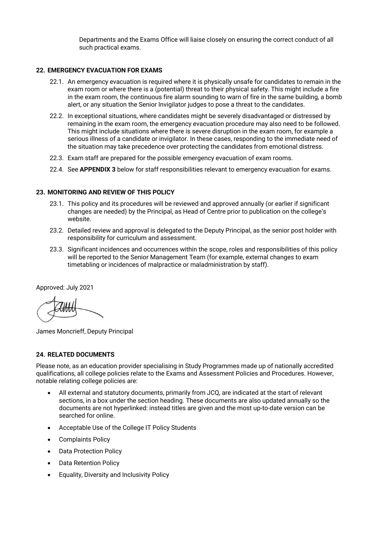Departments and the Exams Office will liaise closely on ensuring the correct conduct of all such practical exams.

# **22. EMERGENCY EVACUATION FOR EXAMS**

- 22.1. An emergency evacuation is required where it is physically unsafe for candidates to remain in the exam room or where there is a (potential) threat to their physical safety. This might include a fire in the exam room, the continuous fire alarm sounding to warn of fire in the same building, a bomb alert, or any situation the Senior Invigilator judges to pose a threat to the candidates.
- 22.2. In exceptional situations, where candidates might be severely disadvantaged or distressed by remaining in the exam room, the emergency evacuation procedure may also need to be followed. This might include situations where there is severe disruption in the exam room, for example a serious illness of a candidate or invigilator. In these cases, responding to the immediate need of the situation may take precedence over protecting the candidates from emotional distress.
- 22.3. Exam staff are prepared for the possible emergency evacuation of exam rooms.
- 22.4. See **APPENDIX 3** below for staff responsibilities relevant to emergency evacuation for exams.

# **23. MONITORING AND REVIEW OF THIS POLICY**

- 23.1. This policy and its procedures will be reviewed and approved annually (or earlier if significant changes are needed) by the Principal, as Head of Centre prior to publication on the college's website.
- 23.2. Detailed review and approval is delegated to the Deputy Principal, as the senior post holder with responsibility for curriculum and assessment.
- 23.3. Significant incidences and occurrences within the scope, roles and responsibilities of this policy will be reported to the Senior Management Team (for example, external changes to exam timetabling or incidences of malpractice or maladministration by staff).

Approved: July 2021

James Moncrieff, Deputy Principal

# **24. RELATED DOCUMENTS**

Please note, as an education provider specialising in Study Programmes made up of nationally accredited qualifications, all college policies relate to the Exams and Assessment Policies and Procedures. However, notable relating college policies are:

- All external and statutory documents, primarily from JCQ, are indicated at the start of relevant sections, in a box under the section heading. These documents are also updated annually so the documents are not hyperlinked: instead titles are given and the most up-to-date version can be searched for online.
- Acceptable Use of the College IT Policy Students
- Complaints Policy
- Data Protection Policy
- Data Retention Policy
- Equality, Diversity and Inclusivity Policy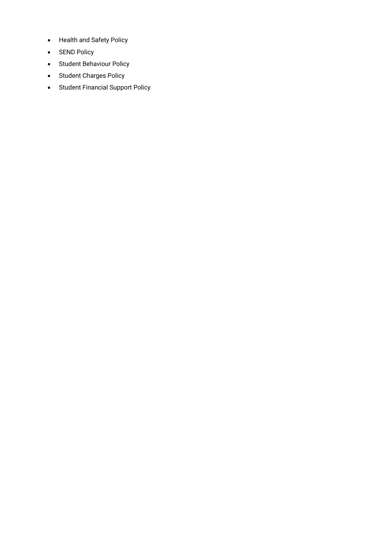- Health and Safety Policy
- SEND Policy
- Student Behaviour Policy
- Student Charges Policy
- Student Financial Support Policy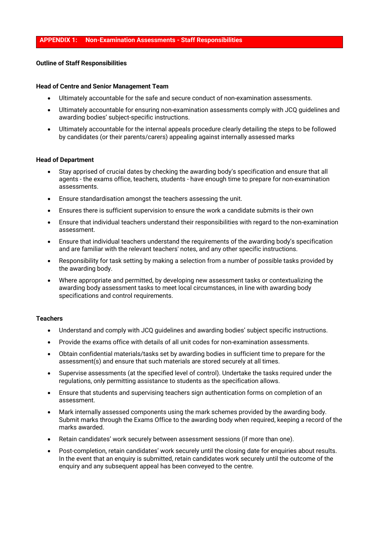#### **APPENDIX 1: Non-Examination Assessments - Staff Responsibilities**

#### **Outline of Staff Responsibilities**

#### **Head of Centre and Senior Management Team**

- Ultimately accountable for the safe and secure conduct of non-examination assessments.
- Ultimately accountable for ensuring non-examination assessments comply with JCQ guidelines and awarding bodies' subject-specific instructions.
- Ultimately accountable for the internal appeals procedure clearly detailing the steps to be followed by candidates (or their parents/carers) appealing against internally assessed marks

#### **Head of Department**

- Stay apprised of crucial dates by checking the awarding body's specification and ensure that all agents - the exams office, teachers, students - have enough time to prepare for non-examination assessments.
- Ensure standardisation amongst the teachers assessing the unit.
- Ensures there is sufficient supervision to ensure the work a candidate submits is their own
- Ensure that individual teachers understand their responsibilities with regard to the non-examination assessment.
- Ensure that individual teachers understand the requirements of the awarding body's specification and are familiar with the relevant teachers' notes, and any other specific instructions.
- Responsibility for task setting by making a selection from a number of possible tasks provided by the awarding body.
- Where appropriate and permitted, by developing new assessment tasks or contextualizing the awarding body assessment tasks to meet local circumstances, in line with awarding body specifications and control requirements.

#### **Teachers**

- Understand and comply with JCQ guidelines and awarding bodies' subject specific instructions.
- Provide the exams office with details of all unit codes for non-examination assessments.
- Obtain confidential materials/tasks set by awarding bodies in sufficient time to prepare for the assessment(s) and ensure that such materials are stored securely at all times.
- Supervise assessments (at the specified level of control). Undertake the tasks required under the regulations, only permitting assistance to students as the specification allows.
- Ensure that students and supervising teachers sign authentication forms on completion of an assessment.
- Mark internally assessed components using the mark schemes provided by the awarding body. Submit marks through the Exams Office to the awarding body when required, keeping a record of the marks awarded.
- Retain candidates' work securely between assessment sessions (if more than one).
- Post-completion, retain candidates' work securely until the closing date for enquiries about results. In the event that an enquiry is submitted, retain candidates work securely until the outcome of the enquiry and any subsequent appeal has been conveyed to the centre.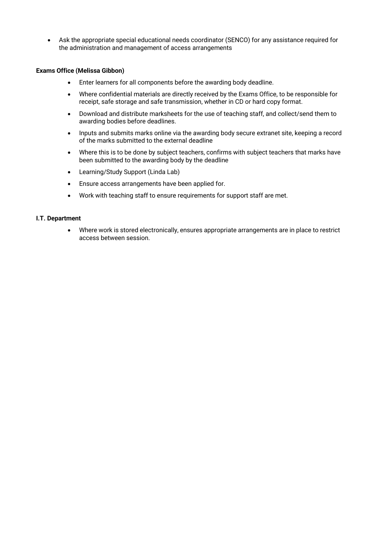• Ask the appropriate special educational needs coordinator (SENCO) for any assistance required for the administration and management of access arrangements

# **Exams Office (Melissa Gibbon)**

- Enter learners for all components before the awarding body deadline.
- Where confidential materials are directly received by the Exams Office, to be responsible for receipt, safe storage and safe transmission, whether in CD or hard copy format.
- Download and distribute marksheets for the use of teaching staff, and collect/send them to awarding bodies before deadlines.
- Inputs and submits marks online via the awarding body secure extranet site, keeping a record of the marks submitted to the external deadline
- Where this is to be done by subject teachers, confirms with subject teachers that marks have been submitted to the awarding body by the deadline
- Learning/Study Support (Linda Lab)
- Ensure access arrangements have been applied for.
- Work with teaching staff to ensure requirements for support staff are met.

#### **I.T. Department**

• Where work is stored electronically, ensures appropriate arrangements are in place to restrict access between session.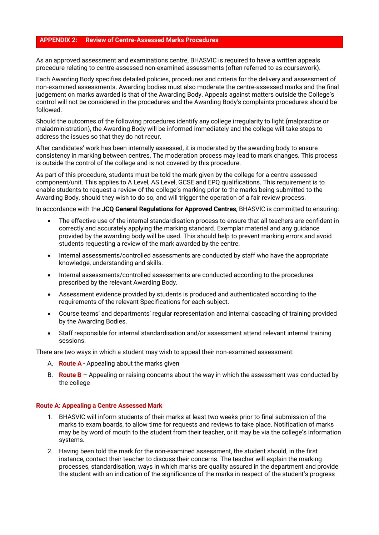# **APPENDIX 2: Review of Centre-Assessed Marks Procedures**

As an approved assessment and examinations centre, BHASVIC is required to have a written appeals procedure relating to centre-assessed non-examined assessments (often referred to as coursework).

Each Awarding Body specifies detailed policies, procedures and criteria for the delivery and assessment of non-examined assessments. Awarding bodies must also moderate the centre-assessed marks and the final judgement on marks awarded is that of the Awarding Body. Appeals against matters outside the College's control will not be considered in the procedures and the Awarding Body's complaints procedures should be followed.

Should the outcomes of the following procedures identify any college irregularity to light (malpractice or maladministration), the Awarding Body will be informed immediately and the college will take steps to address the issues so that they do not recur.

After candidates' work has been internally assessed, it is moderated by the awarding body to ensure consistency in marking between centres. The moderation process may lead to mark changes. This process is outside the control of the college and is not covered by this procedure.

As part of this procedure, students must be told the mark given by the college for a centre assessed component/unit. This applies to A Level, AS Level, GCSE and EPQ qualifications. This requirement is to enable students to request a review of the college's marking prior to the marks being submitted to the Awarding Body, should they wish to do so, and will trigger the operation of a fair review process.

In accordance with the **JCQ General Regulations for Approved Centres**, BHASVIC is committed to ensuring:

- The effective use of the internal standardisation process to ensure that all teachers are confident in correctly and accurately applying the marking standard. Exemplar material and any guidance provided by the awarding body will be used. This should help to prevent marking errors and avoid students requesting a review of the mark awarded by the centre.
- Internal assessments/controlled assessments are conducted by staff who have the appropriate knowledge, understanding and skills.
- Internal assessments/controlled assessments are conducted according to the procedures prescribed by the relevant Awarding Body.
- Assessment evidence provided by students is produced and authenticated according to the requirements of the relevant Specifications for each subject.
- Course teams' and departments' regular representation and internal cascading of training provided by the Awarding Bodies.
- Staff responsible for internal standardisation and/or assessment attend relevant internal training sessions.

There are two ways in which a student may wish to appeal their non-examined assessment:

- A. **Route A** Appealing about the marks given
- B. **Route B** Appealing or raising concerns about the way in which the assessment was conducted by the college

# **Route A: Appealing a Centre Assessed Mark**

- 1. BHASVIC will inform students of their marks at least two weeks prior to final submission of the marks to exam boards, to allow time for requests and reviews to take place. Notification of marks may be by word of mouth to the student from their teacher, or it may be via the college's information systems.
- 2. Having been told the mark for the non-examined assessment, the student should, in the first instance, contact their teacher to discuss their concerns. The teacher will explain the marking processes, standardisation, ways in which marks are quality assured in the department and provide the student with an indication of the significance of the marks in respect of the student's progress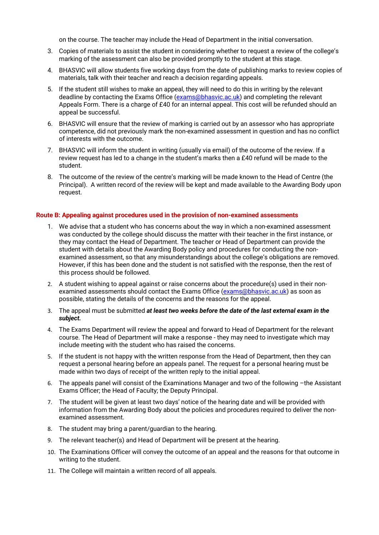on the course. The teacher may include the Head of Department in the initial conversation.

- 3. Copies of materials to assist the student in considering whether to request a review of the college's marking of the assessment can also be provided promptly to the student at this stage.
- 4. BHASVIC will allow students five working days from the date of publishing marks to review copies of materials, talk with their teacher and reach a decision regarding appeals.
- 5. If the student still wishes to make an appeal, they will need to do this in writing by the relevant deadline by contacting the Exams Office [\(exams@bhasvic.ac.uk\)](mailto:exams@bhasvic.ac.uk) and completing the relevant Appeals Form. There is a charge of £40 for an internal appeal. This cost will be refunded should an appeal be successful.
- 6. BHASVIC will ensure that the review of marking is carried out by an assessor who has appropriate competence, did not previously mark the non-examined assessment in question and has no conflict of interests with the outcome.
- 7. BHASVIC will inform the student in writing (usually via email) of the outcome of the review. If a review request has led to a change in the student's marks then a £40 refund will be made to the student.
- 8. The outcome of the review of the centre's marking will be made known to the Head of Centre (the Principal). A written record of the review will be kept and made available to the Awarding Body upon request.

#### **Route B: Appealing against procedures used in the provision of non-examined assessments**

- 1. We advise that a student who has concerns about the way in which a non-examined assessment was conducted by the college should discuss the matter with their teacher in the first instance, or they may contact the Head of Department. The teacher or Head of Department can provide the student with details about the Awarding Body policy and procedures for conducting the nonexamined assessment, so that any misunderstandings about the college's obligations are removed. However, if this has been done and the student is not satisfied with the response, then the rest of this process should be followed.
- 2. A student wishing to appeal against or raise concerns about the procedure(s) used in their non-examined assessments should contact the Exams Office [\(exams@bhasvic.ac.uk\)](mailto:exams@bhasvic.ac.uk) as soon as possible, stating the details of the concerns and the reasons for the appeal.
- 3. The appeal must be submitted *at least two weeks before the date of the last external exam in the subject.*
- 4. The Exams Department will review the appeal and forward to Head of Department for the relevant course. The Head of Department will make a response - they may need to investigate which may include meeting with the student who has raised the concerns.
- 5. If the student is not happy with the written response from the Head of Department, then they can request a personal hearing before an appeals panel. The request for a personal hearing must be made within two days of receipt of the written reply to the initial appeal.
- 6. The appeals panel will consist of the Examinations Manager and two of the following –the Assistant Exams Officer; the Head of Faculty; the Deputy Principal.
- 7. The student will be given at least two days' notice of the hearing date and will be provided with information from the Awarding Body about the policies and procedures required to deliver the nonexamined assessment.
- 8. The student may bring a parent/guardian to the hearing.
- 9. The relevant teacher(s) and Head of Department will be present at the hearing.
- 10. The Examinations Officer will convey the outcome of an appeal and the reasons for that outcome in writing to the student.
- 11. The College will maintain a written record of all appeals.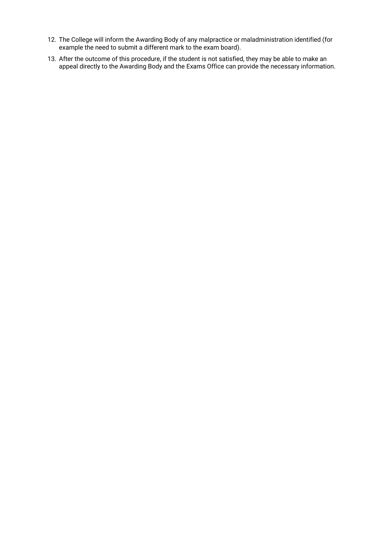- 12. The College will inform the Awarding Body of any malpractice or maladministration identified (for example the need to submit a different mark to the exam board).
- 13. After the outcome of this procedure, if the student is not satisfied, they may be able to make an appeal directly to the Awarding Body and the Exams Office can provide the necessary information.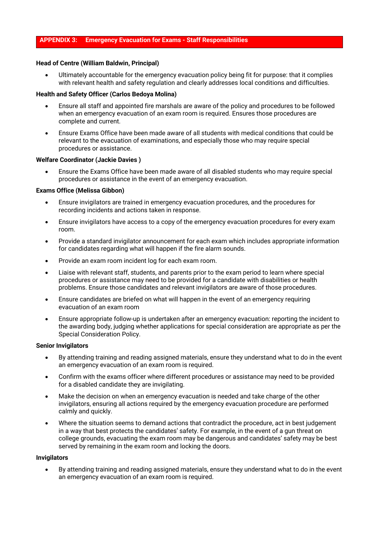# **APPENDIX 3: Emergency Evacuation for Exams - Staff Responsibilities**

#### **Head of Centre (William Baldwin, Principal)**

• Ultimately accountable for the emergency evacuation policy being fit for purpose: that it complies with relevant health and safety regulation and clearly addresses local conditions and difficulties.

#### **Health and Safety Officer (Carlos Bedoya Molina)**

- Ensure all staff and appointed fire marshals are aware of the policy and procedures to be followed when an emergency evacuation of an exam room is required. Ensures those procedures are complete and current.
- Ensure Exams Office have been made aware of all students with medical conditions that could be relevant to the evacuation of examinations, and especially those who may require special procedures or assistance.

#### **Welfare Coordinator (Jackie Davies )**

• Ensure the Exams Office have been made aware of all disabled students who may require special procedures or assistance in the event of an emergency evacuation.

#### **Exams Office (Melissa Gibbon)**

- Ensure invigilators are trained in emergency evacuation procedures, and the procedures for recording incidents and actions taken in response.
- Ensure invigilators have access to a copy of the emergency evacuation procedures for every exam room.
- Provide a standard invigilator announcement for each exam which includes appropriate information for candidates regarding what will happen if the fire alarm sounds.
- Provide an exam room incident log for each exam room.
- Liaise with relevant staff, students, and parents prior to the exam period to learn where special procedures or assistance may need to be provided for a candidate with disabilities or health problems. Ensure those candidates and relevant invigilators are aware of those procedures.
- Ensure candidates are briefed on what will happen in the event of an emergency requiring evacuation of an exam room
- Ensure appropriate follow-up is undertaken after an emergency evacuation: reporting the incident to the awarding body, judging whether applications for special consideration are appropriate as per the Special Consideration Policy.

#### **Senior Invigilators**

- By attending training and reading assigned materials, ensure they understand what to do in the event an emergency evacuation of an exam room is required.
- Confirm with the exams officer where different procedures or assistance may need to be provided for a disabled candidate they are invigilating.
- Make the decision on when an emergency evacuation is needed and take charge of the other invigilators, ensuring all actions required by the emergency evacuation procedure are performed calmly and quickly.
- Where the situation seems to demand actions that contradict the procedure, act in best judgement in a way that best protects the candidates' safety. For example, in the event of a gun threat on college grounds, evacuating the exam room may be dangerous and candidates' safety may be best served by remaining in the exam room and locking the doors.

#### **Invigilators**

• By attending training and reading assigned materials, ensure they understand what to do in the event an emergency evacuation of an exam room is required.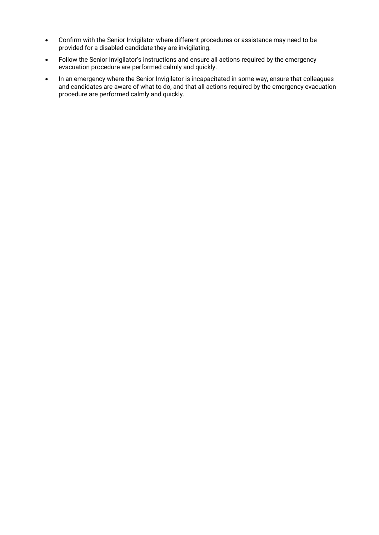- Confirm with the Senior Invigilator where different procedures or assistance may need to be provided for a disabled candidate they are invigilating.
- Follow the Senior Invigilator's instructions and ensure all actions required by the emergency evacuation procedure are performed calmly and quickly.
- In an emergency where the Senior Invigilator is incapacitated in some way, ensure that colleagues and candidates are aware of what to do, and that all actions required by the emergency evacuation procedure are performed calmly and quickly.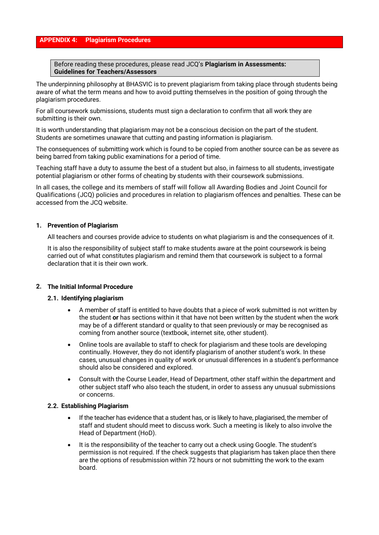# **APPENDIX 4: Plagiarism Procedures**

Before reading these procedures, please read JCQ's **Plagiarism in Assessments: Guidelines for Teachers/Assessors**

The underpinning philosophy at BHASVIC is to prevent plagiarism from taking place through students being aware of what the term means and how to avoid putting themselves in the position of going through the plagiarism procedures.

For all coursework submissions, students must sign a declaration to confirm that all work they are submitting is their own.

It is worth understanding that plagiarism may not be a conscious decision on the part of the student. Students are sometimes unaware that cutting and pasting information is plagiarism.

The consequences of submitting work which is found to be copied from another source can be as severe as being barred from taking public examinations for a period of time.

Teaching staff have a duty to assume the best of a student but also, in fairness to all students, investigate potential plagiarism or other forms of cheating by students with their coursework submissions.

In all cases, the college and its members of staff will follow all Awarding Bodies and Joint Council for Qualifications (JCQ) policies and procedures in relation to plagiarism offences and penalties. These can be accessed from the JCQ website.

#### **1. Prevention of Plagiarism**

All teachers and courses provide advice to students on what plagiarism is and the consequences of it.

It is also the responsibility of subject staff to make students aware at the point coursework is being carried out of what constitutes plagiarism and remind them that coursework is subject to a formal declaration that it is their own work.

#### **2. The Initial Informal Procedure**

#### **2.1. Identifying plagiarism**

- A member of staff is entitled to have doubts that a piece of work submitted is not written by the student **or** has sections within it that have not been written by the student when the work may be of a different standard or quality to that seen previously or may be recognised as coming from another source (textbook, internet site, other student).
- Online tools are available to staff to check for plagiarism and these tools are developing continually. However, they do not identify plagiarism of another student's work. In these cases, unusual changes in quality of work or unusual differences in a student's performance should also be considered and explored.
- Consult with the Course Leader, Head of Department, other staff within the department and other subject staff who also teach the student, in order to assess any unusual submissions or concerns.

#### **2.2. Establishing Plagiarism**

- If the teacher has evidence that a student has, or is likely to have, plagiarised, the member of staff and student should meet to discuss work. Such a meeting is likely to also involve the Head of Department (HoD).
- It is the responsibility of the teacher to carry out a check using Google. The student's permission is not required. If the check suggests that plagiarism has taken place then there are the options of resubmission within 72 hours or not submitting the work to the exam board.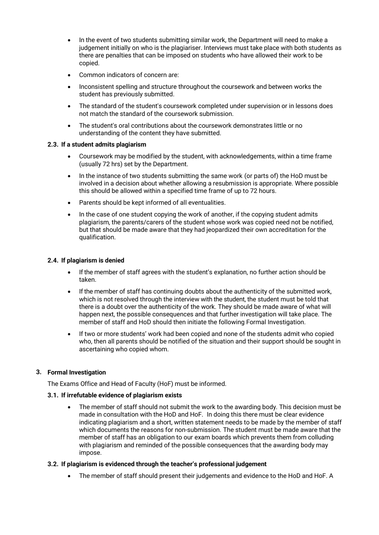- In the event of two students submitting similar work, the Department will need to make a judgement initially on who is the plagiariser. Interviews must take place with both students as there are penalties that can be imposed on students who have allowed their work to be copied.
- Common indicators of concern are:
- Inconsistent spelling and structure throughout the coursework and between works the student has previously submitted.
- The standard of the student's coursework completed under supervision or in lessons does not match the standard of the coursework submission.
- The student's oral contributions about the coursework demonstrates little or no understanding of the content they have submitted.

# **2.3. If a student admits plagiarism**

- Coursework may be modified by the student, with acknowledgements, within a time frame (usually 72 hrs) set by the Department.
- In the instance of two students submitting the same work (or parts of) the HoD must be involved in a decision about whether allowing a resubmission is appropriate. Where possible this should be allowed within a specified time frame of up to 72 hours.
- Parents should be kept informed of all eventualities.
- In the case of one student copying the work of another, if the copying student admits plagiarism, the parents/carers of the student whose work was copied need not be notified, but that should be made aware that they had jeopardized their own accreditation for the qualification.

# **2.4. If plagiarism is denied**

- If the member of staff agrees with the student's explanation, no further action should be taken.
- If the member of staff has continuing doubts about the authenticity of the submitted work, which is not resolved through the interview with the student, the student must be told that there is a doubt over the authenticity of the work. They should be made aware of what will happen next, the possible consequences and that further investigation will take place. The member of staff and HoD should then initiate the following Formal Investigation.
- If two or more students' work had been copied and none of the students admit who copied who, then all parents should be notified of the situation and their support should be sought in ascertaining who copied whom.

# **3. Formal Investigation**

The Exams Office and Head of Faculty (HoF) must be informed.

# **3.1. If irrefutable evidence of plagiarism exists**

• The member of staff should not submit the work to the awarding body. This decision must be made in consultation with the HoD and HoF. In doing this there must be clear evidence indicating plagiarism and a short, written statement needs to be made by the member of staff which documents the reasons for non-submission. The student must be made aware that the member of staff has an obligation to our exam boards which prevents them from colluding with plagiarism and reminded of the possible consequences that the awarding body may impose.

# **3.2. If plagiarism is evidenced through the teacher's professional judgement**

• The member of staff should present their judgements and evidence to the HoD and HoF. A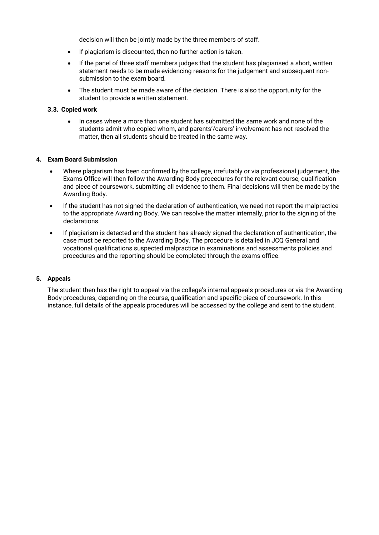decision will then be jointly made by the three members of staff.

- If plagiarism is discounted, then no further action is taken.
- If the panel of three staff members judges that the student has plagiarised a short, written statement needs to be made evidencing reasons for the judgement and subsequent nonsubmission to the exam board.
- The student must be made aware of the decision. There is also the opportunity for the student to provide a written statement.

# **3.3. Copied work**

• In cases where a more than one student has submitted the same work and none of the students admit who copied whom, and parents'/carers' involvement has not resolved the matter, then all students should be treated in the same way.

#### **4. Exam Board Submission**

- Where plagiarism has been confirmed by the college, irrefutably or via professional judgement, the Exams Office will then follow the Awarding Body procedures for the relevant course, qualification and piece of coursework, submitting all evidence to them. Final decisions will then be made by the Awarding Body.
- If the student has not signed the declaration of authentication, we need not report the malpractice to the appropriate Awarding Body. We can resolve the matter internally, prior to the signing of the declarations.
- If plagiarism is detected and the student has already signed the declaration of authentication, the case must be reported to the Awarding Body. The procedure is detailed in JCQ General and vocational qualifications suspected malpractice in examinations and assessments policies and procedures and the reporting should be completed through the exams office.

#### **5. Appeals**

The student then has the right to appeal via the college's internal appeals procedures or via the Awarding Body procedures, depending on the course, qualification and specific piece of coursework. In this instance, full details of the appeals procedures will be accessed by the college and sent to the student.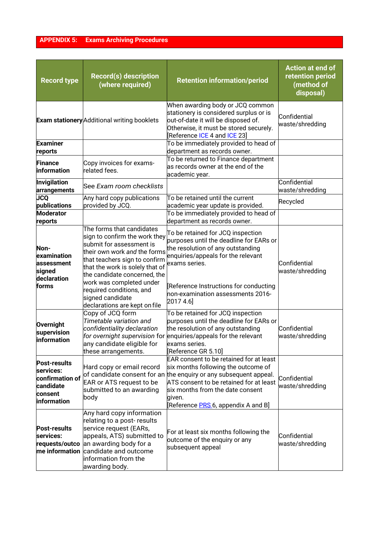# **APPENDIX 5: Exams Archiving Procedures**

| <b>Record type</b>                                                                         | <b>Record(s) description</b><br>(where required)                                                                                                                                                                                                                                                       | <b>Retention information/period</b>                                                                                                                                                                                                                                                        | <b>Action at end of</b><br>retention period<br>(method of<br>disposal) |
|--------------------------------------------------------------------------------------------|--------------------------------------------------------------------------------------------------------------------------------------------------------------------------------------------------------------------------------------------------------------------------------------------------------|--------------------------------------------------------------------------------------------------------------------------------------------------------------------------------------------------------------------------------------------------------------------------------------------|------------------------------------------------------------------------|
|                                                                                            | <b>Exam stationery</b> Additional writing booklets                                                                                                                                                                                                                                                     | When awarding body or JCQ common<br>stationery is considered surplus or is<br>out-of-date it will be disposed of.<br>Otherwise, it must be stored securely.<br>Reference ICE 4 and ICE 23                                                                                                  | Confidential<br>waste/shredding                                        |
| <b>Examiner</b><br>reports                                                                 |                                                                                                                                                                                                                                                                                                        | To be immediately provided to head of<br>department as records owner.                                                                                                                                                                                                                      |                                                                        |
| <b>Finance</b><br>information                                                              | Copy invoices for exams-<br>related fees.                                                                                                                                                                                                                                                              | To be returned to Finance department<br>as records owner at the end of the<br>academic year.                                                                                                                                                                                               |                                                                        |
| <b>Invigilation</b><br>arrangements                                                        | See Exam room checklists                                                                                                                                                                                                                                                                               |                                                                                                                                                                                                                                                                                            | Confidential<br>waste/shredding                                        |
| <b>JCQ</b><br>publications                                                                 | Any hard copy publications<br>provided by JCQ.                                                                                                                                                                                                                                                         | To be retained until the current<br>academic year update is provided.                                                                                                                                                                                                                      | Recycled                                                               |
| <b>Moderator</b><br>reports                                                                |                                                                                                                                                                                                                                                                                                        | To be immediately provided to head of<br>department as records owner.                                                                                                                                                                                                                      |                                                                        |
| Non-<br>examination<br>assessment<br>signed<br>declaration<br>forms                        | The forms that candidates<br>sign to confirm the work they<br>submit for assessment is<br>their own work and the forms<br>that teachers sign to confirm<br>that the work is solely that of<br>the candidate concerned, the<br>work was completed under<br>required conditions, and<br>signed candidate | To be retained for JCQ inspection<br>purposes until the deadline for EARs or<br>the resolution of any outstanding<br>enquiries/appeals for the relevant<br>exams series.<br>[Reference Instructions for conducting<br>non-examination assessments 2016-<br>2017 4.6]                       | Confidential<br>waste/shredding                                        |
| <b>Overnight</b><br>supervision<br>information                                             | declarations are kept on file<br>Copy of JCQ form<br>Timetable variation and<br>confidentiality declaration<br>any candidate eligible for<br>these arrangements.                                                                                                                                       | To be retained for JCQ inspection<br>purposes until the deadline for EARs or<br>the resolution of any outstanding<br>for overnight supervision for enquiries/appeals for the relevant<br>exams series.<br>[Reference GR 5.10]                                                              | Confidential<br>waste/shredding                                        |
| <b>Post-results</b><br>services:<br>confirmation of<br>candidate<br>consent<br>information | Hard copy or email record<br>EAR or ATS request to be<br>submitted to an awarding<br>body                                                                                                                                                                                                              | EAR consent to be retained for at least<br>six months following the outcome of<br>of candidate consent for an the enquiry or any subsequent appeal.<br>ATS consent to be retained for at least<br>six months from the date consent<br>given.<br>[Reference <b>PRS</b> 6, appendix A and B] | Confidential<br>waste/shredding                                        |
| <b>Post-results</b><br>services:<br>requests/outco<br>me information                       | Any hard copy information<br>relating to a post-results<br>service request (EARs,<br>appeals, ATS) submitted to<br>an awarding body for a<br>candidate and outcome<br>information from the<br>awarding body.                                                                                           | For at least six months following the<br>outcome of the enquiry or any<br>subsequent appeal                                                                                                                                                                                                | Confidential<br>waste/shredding                                        |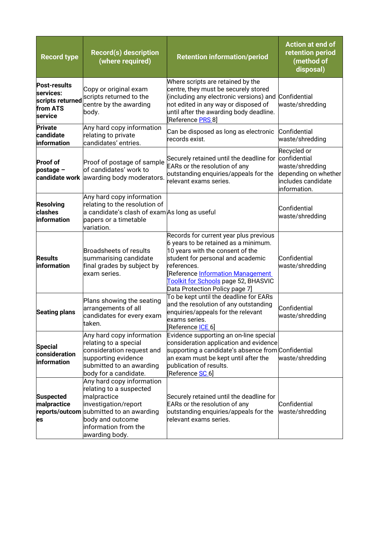| <b>Record type</b>                                                          | <b>Record(s) description</b><br>(where required)                                                                                                                                                     | <b>Retention information/period</b>                                                                                                                                                                                                                                                         | <b>Action at end of</b><br>retention period<br>(method of<br>disposal)                                       |
|-----------------------------------------------------------------------------|------------------------------------------------------------------------------------------------------------------------------------------------------------------------------------------------------|---------------------------------------------------------------------------------------------------------------------------------------------------------------------------------------------------------------------------------------------------------------------------------------------|--------------------------------------------------------------------------------------------------------------|
| <b>Post-results</b><br>services:<br>scripts returned<br>from ATS<br>service | Copy or original exam<br>scripts returned to the<br>centre by the awarding<br>body.                                                                                                                  | Where scripts are retained by the<br>centre, they must be securely stored<br>(including any electronic versions) and Confidential<br>not edited in any way or disposed of<br>until after the awarding body deadline.<br>Reference PRS 81                                                    | waste/shredding                                                                                              |
| <b>Private</b><br>candidate<br>information                                  | Any hard copy information<br>relating to private<br>candidates' entries.                                                                                                                             | Can be disposed as long as electronic<br>records exist.                                                                                                                                                                                                                                     | Confidential<br>waste/shredding                                                                              |
| <b>Proof of</b><br>postage -                                                | Proof of postage of sample<br>of candidates' work to<br>candidate work awarding body moderators.                                                                                                     | Securely retained until the deadline for<br>EARs or the resolution of any<br>outstanding enquiries/appeals for the<br>relevant exams series.                                                                                                                                                | Recycled or<br>confidential<br>waste/shredding<br>depending on whether<br>includes candidate<br>information. |
| <b>Resolving</b><br>clashes<br>information                                  | Any hard copy information<br>relating to the resolution of<br>a candidate's clash of examAs long as useful<br>papers or a timetable<br>variation.                                                    |                                                                                                                                                                                                                                                                                             | Confidential<br>waste/shredding                                                                              |
| <b>Results</b><br>information                                               | <b>Broadsheets of results</b><br>summarising candidate<br>final grades by subject by<br>exam series.                                                                                                 | Records for current year plus previous<br>6 years to be retained as a minimum.<br>10 years with the consent of the<br>student for personal and academic<br>references.<br><b>Reference Information Management</b><br>Toolkit for Schools page 52, BHASVIC<br>Data Protection Policy page 7] | Confidential<br>waste/shredding                                                                              |
| <b>Seating plans</b>                                                        | Plans showing the seating<br>arrangements of all<br>candidates for every exam<br>taken.                                                                                                              | To be kept until the deadline for EARs<br>and the resolution of any outstanding<br>enquiries/appeals for the relevant<br>exams series.<br>[Reference <u>ICE</u> 6]                                                                                                                          | Confidential<br>waste/shredding                                                                              |
| <b>Special</b><br>consideration<br>information                              | Any hard copy information<br>relating to a special<br>consideration request and<br>supporting evidence<br>submitted to an awarding<br>body for a candidate.                                          | Evidence supporting an on-line special<br>consideration application and evidence<br>supporting a candidate's absence from Confidential<br>an exam must be kept until after the<br>publication of results.<br>[Reference SC_6]                                                               | waste/shredding                                                                                              |
| <b>Suspected</b><br>malpractice<br>es                                       | Any hard copy information<br>relating to a suspected<br>malpractice<br>investigation/report<br>reports/outcom submitted to an awarding<br>body and outcome<br>information from the<br>awarding body. | Securely retained until the deadline for<br>EARs or the resolution of any<br>outstanding enquiries/appeals for the<br>relevant exams series.                                                                                                                                                | Confidential<br>waste/shredding                                                                              |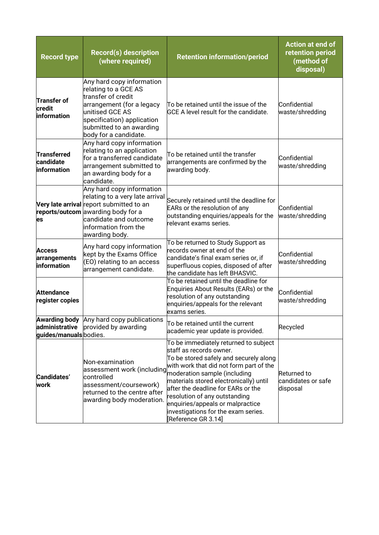| <b>Record type</b>                             | <b>Record(s) description</b><br>(where required)                                                                                                                                                                  | <b>Retention information/period</b>                                                                                                                                                                                                                                                                                                                                                                                                 | <b>Action at end of</b><br>retention period<br>(method of<br>disposal) |
|------------------------------------------------|-------------------------------------------------------------------------------------------------------------------------------------------------------------------------------------------------------------------|-------------------------------------------------------------------------------------------------------------------------------------------------------------------------------------------------------------------------------------------------------------------------------------------------------------------------------------------------------------------------------------------------------------------------------------|------------------------------------------------------------------------|
| <b>Transfer of</b><br>credit<br>information    | Any hard copy information<br>relating to a GCE AS<br>transfer of credit<br>arrangement (for a legacy<br>unitised GCE AS<br>specification) application<br>submitted to an awarding<br>body for a candidate.        | To be retained until the issue of the<br>GCE A level result for the candidate.                                                                                                                                                                                                                                                                                                                                                      | Confidential<br>waste/shredding                                        |
| Transferred<br>candidate<br><b>information</b> | Any hard copy information<br>relating to an application<br>for a transferred candidate<br>arrangement submitted to<br>an awarding body for a<br>candidate.                                                        | To be retained until the transfer<br>arrangements are confirmed by the<br>awarding body.                                                                                                                                                                                                                                                                                                                                            | Confidential<br>waste/shredding                                        |
| es                                             | Any hard copy information<br>relating to a very late arrival<br>Very late arrival report submitted to an<br>reports/outcom awarding body for a<br>candidate and outcome<br>information from the<br>awarding body. | Securely retained until the deadline for<br>EARs or the resolution of any<br>outstanding enquiries/appeals for the<br>relevant exams series.                                                                                                                                                                                                                                                                                        | Confidential<br>waste/shredding                                        |
| <b>Access</b><br>arrangements<br>information   | Any hard copy information<br>kept by the Exams Office<br>(EO) relating to an access<br>arrangement candidate.                                                                                                     | To be returned to Study Support as<br>records owner at end of the<br>candidate's final exam series or, if<br>superfluous copies, disposed of after<br>the candidate has left BHASVIC.                                                                                                                                                                                                                                               | Confidential<br>waste/shredding                                        |
| <b>Attendance</b><br>register copies           |                                                                                                                                                                                                                   | To be retained until the deadline for<br>Enquiries About Results (EARs) or the<br>resolution of any outstanding<br>enquiries/appeals for the relevant<br>exams series.                                                                                                                                                                                                                                                              | Confidential<br>waste/shredding                                        |
| administrative<br>guides/manualsbodies.        | Awarding body Any hard copy publications<br>provided by awarding                                                                                                                                                  | To be retained until the current<br>academic year update is provided.                                                                                                                                                                                                                                                                                                                                                               | Recycled                                                               |
| <b>Candidates'</b><br>work                     | Non-examination<br>controlled<br>assessment/coursework)<br>returned to the centre after<br>awarding body moderation.                                                                                              | To be immediately returned to subject<br>staff as records owner.<br>To be stored safely and securely along<br>with work that did not form part of the<br>assessment work (including moderation sample (including<br>materials stored electronically) until<br>after the deadline for EARs or the<br>resolution of any outstanding<br>enquiries/appeals or malpractice<br>investigations for the exam series.<br>[Reference GR 3.14] | Returned to<br>candidates or safe<br>disposal                          |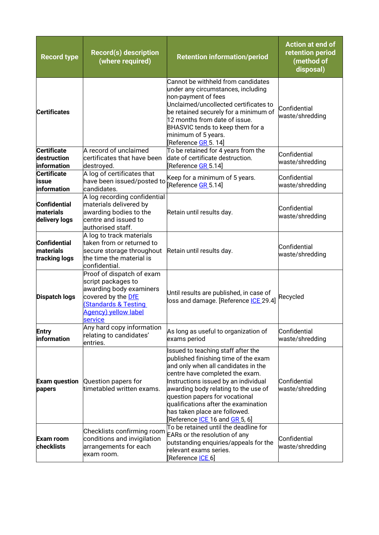| <b>Record type</b>                                        | <b>Record(s) description</b><br>(where required)                                                                                                                                           | <b>Retention information/period</b>                                                                                                                                                                                                                                                                                                                                                               | <b>Action at end of</b><br>retention period<br>(method of<br>disposal) |
|-----------------------------------------------------------|--------------------------------------------------------------------------------------------------------------------------------------------------------------------------------------------|---------------------------------------------------------------------------------------------------------------------------------------------------------------------------------------------------------------------------------------------------------------------------------------------------------------------------------------------------------------------------------------------------|------------------------------------------------------------------------|
| <b>Certificates</b>                                       |                                                                                                                                                                                            | Cannot be withheld from candidates<br>under any circumstances, including<br>non-payment of fees<br>Unclaimed/uncollected certificates to<br>be retained securely for a minimum of<br>12 months from date of issue.<br>BHASVIC tends to keep them for a<br>minimum of 5 years.<br>[Reference <u>GR </u> 5. 14]                                                                                     | Confidential<br>waste/shredding                                        |
| <b>Certificate</b><br>destruction                         | A record of unclaimed<br>certificates that have been                                                                                                                                       | To be retained for 4 years from the<br>date of certificate destruction.                                                                                                                                                                                                                                                                                                                           | Confidential<br>waste/shredding                                        |
| information<br><b>Certificate</b><br>issue<br>information | destroyed.<br>A log of certificates that<br>have been issued/posted to<br>candidates.                                                                                                      | Reference GR 5.14]<br>Keep for a minimum of 5 years.<br>[Reference GR 5.14]                                                                                                                                                                                                                                                                                                                       | Confidential<br>waste/shredding                                        |
| <b>Confidential</b><br>materials<br>delivery logs         | A log recording confidential<br>materials delivered by<br>awarding bodies to the<br>centre and issued to<br>authorised staff.                                                              | Retain until results day.                                                                                                                                                                                                                                                                                                                                                                         | Confidential<br>waste/shredding                                        |
| <b>Confidential</b><br>materials<br>tracking logs         | A log to track materials<br>taken from or returned to<br>secure storage throughout<br>the time the material is<br>confidential.                                                            | Retain until results day.                                                                                                                                                                                                                                                                                                                                                                         | Confidential<br>waste/shredding                                        |
| <b>Dispatch logs</b>                                      | Proof of dispatch of exam<br>script packages to<br>awarding body examiners<br>covered by the <b>DfE</b><br><b>Standards &amp; Testing</b><br><b>Agency) yellow label</b><br><b>service</b> | Until results are published, in case of<br>loss and damage. [Reference ICE 29.4]                                                                                                                                                                                                                                                                                                                  | Recycled                                                               |
| <b>Entry</b><br>information                               | Any hard copy information<br>relating to candidates'<br>entries.                                                                                                                           | As long as useful to organization of<br>exams period                                                                                                                                                                                                                                                                                                                                              | Confidential<br>waste/shredding                                        |
| <b>Exam question</b><br>papers                            | Question papers for<br>timetabled written exams.                                                                                                                                           | Issued to teaching staff after the<br>published finishing time of the exam<br>and only when all candidates in the<br>centre have completed the exam.<br>Instructions issued by an individual<br>awarding body relating to the use of<br>question papers for vocational<br>qualifications after the examination<br>has taken place are followed.<br>[Reference <u>ICE </u> 16 and <u>GR </u> 5, 6] | Confidential<br>waste/shredding                                        |
| Exam room<br>checklists                                   | Checklists confirming room<br>conditions and invigilation<br>arrangements for each<br>exam room.                                                                                           | To be retained until the deadline for<br>EARs or the resolution of any<br>outstanding enquiries/appeals for the<br>relevant exams series.<br>[Reference <u>ICE </u> 6]                                                                                                                                                                                                                            | Confidential<br>waste/shredding                                        |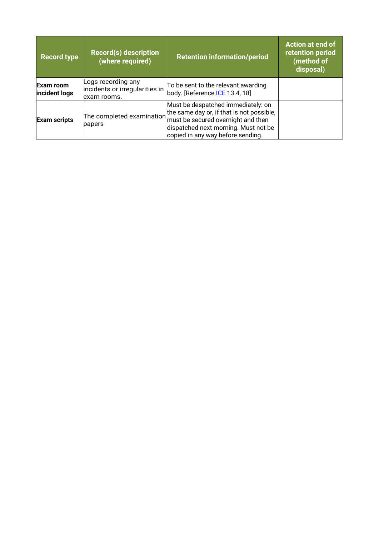| <b>Record type</b>         | <b>Record(s) description</b><br>(where required)                    | <b>Retention information/period</b>                                                                                                                                                                                          | <b>Action at end of</b><br>retention period<br>(method of<br>disposal) |
|----------------------------|---------------------------------------------------------------------|------------------------------------------------------------------------------------------------------------------------------------------------------------------------------------------------------------------------------|------------------------------------------------------------------------|
| Exam room<br>incident logs | Logs recording any<br>incidents or irregularities in<br>exam rooms. | To be sent to the relevant awarding<br>body. [Reference ICE 13.4, 18]                                                                                                                                                        |                                                                        |
| <b>Exam scripts</b>        | papers                                                              | Must be despatched immediately: on<br>The completed examination the same day or, if that is not possible,<br>must be secured overnight and then<br>dispatched next morning. Must not be<br>copied in any way before sending. |                                                                        |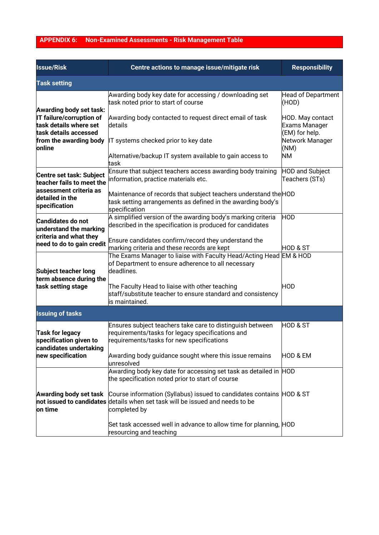# **APPENDIX 6: Non-Examined Assessments - Risk Management Table**

| <b>Issue/Risk</b>                                                                                     | Centre actions to manage issue/mitigate risk                                                                                                                          | <b>Responsibility</b>                                                  |  |  |
|-------------------------------------------------------------------------------------------------------|-----------------------------------------------------------------------------------------------------------------------------------------------------------------------|------------------------------------------------------------------------|--|--|
| <b>Task setting</b>                                                                                   |                                                                                                                                                                       |                                                                        |  |  |
| <b>Awarding body set task:</b>                                                                        | Awarding body key date for accessing / downloading set<br>task noted prior to start of course                                                                         | <b>Head of Department</b><br>(HOD)                                     |  |  |
| IT failure/corruption of<br>task details where set<br>task details accessed<br>from the awarding body | Awarding body contacted to request direct email of task<br>details                                                                                                    | HOD. May contact<br>Exams Manager<br>(EM) for help.<br>Network Manager |  |  |
| online                                                                                                | IT systems checked prior to key date<br>Alternative/backup IT system available to gain access to<br>task                                                              | (NM)<br><b>NM</b>                                                      |  |  |
| Centre set task: Subject<br>teacher fails to meet the                                                 | Ensure that subject teachers access awarding body training<br>information, practice materials etc.                                                                    | <b>HOD and Subject</b><br>Teachers (STs)                               |  |  |
| assessment criteria as<br>detailed in the<br>specification                                            | Maintenance of records that subject teachers understand the HOD<br>task setting arrangements as defined in the awarding body's<br>specification                       |                                                                        |  |  |
| <b>Candidates do not</b><br>understand the marking                                                    | A simplified version of the awarding body's marking criteria<br>described in the specification is produced for candidates                                             | <b>HOD</b>                                                             |  |  |
| criteria and what they<br>need to do to gain credit                                                   | Ensure candidates confirm/record they understand the<br>marking criteria and these records are kept                                                                   | <b>HOD &amp; ST</b>                                                    |  |  |
| <b>Subject teacher long</b><br>term absence during the                                                | The Exams Manager to liaise with Faculty Head/Acting Head EM & HOD<br>of Department to ensure adherence to all necessary<br>deadlines.                                |                                                                        |  |  |
| task setting stage                                                                                    | The Faculty Head to liaise with other teaching<br>staff/substitute teacher to ensure standard and consistency<br>is maintained.                                       | <b>HOD</b>                                                             |  |  |
| <b>Issuing of tasks</b>                                                                               |                                                                                                                                                                       |                                                                        |  |  |
| <b>Task for legacy</b><br>specification given to<br>candidates undertaking                            | Ensures subject teachers take care to distinguish between<br>requirements/tasks for legacy specifications and<br>requirements/tasks for new specifications            | <b>HOD &amp; ST</b>                                                    |  |  |
| new specification                                                                                     | Awarding body guidance sought where this issue remains<br>unresolved                                                                                                  | <b>HOD &amp; EM</b>                                                    |  |  |
|                                                                                                       | Awarding body key date for accessing set task as detailed in HOD<br>the specification noted prior to start of course                                                  |                                                                        |  |  |
| <b>Awarding body set task</b><br>on time                                                              | Course information (Syllabus) issued to candidates contains HOD & ST<br>not issued to candidates details when set task will be issued and needs to be<br>completed by |                                                                        |  |  |
|                                                                                                       | Set task accessed well in advance to allow time for planning, HOD<br>resourcing and teaching                                                                          |                                                                        |  |  |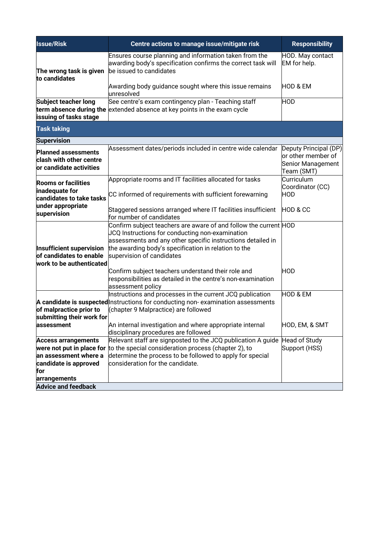| <b>Issue/Risk</b>                                                                | Centre actions to manage issue/mitigate risk                                                                                                                                                                                                                            | <b>Responsibility</b>                                                          |
|----------------------------------------------------------------------------------|-------------------------------------------------------------------------------------------------------------------------------------------------------------------------------------------------------------------------------------------------------------------------|--------------------------------------------------------------------------------|
| The wrong task is given<br>to candidates                                         | Ensures course planning and information taken from the<br>awarding body's specification confirms the correct task will<br>be issued to candidates                                                                                                                       | HOD. May contact<br>EM for help.                                               |
|                                                                                  | Awarding body guidance sought where this issue remains<br>unresolved                                                                                                                                                                                                    | HOD & EM                                                                       |
| Subject teacher long<br>term absence during the<br>issuing of tasks stage        | See centre's exam contingency plan - Teaching staff<br>extended absence at key points in the exam cycle                                                                                                                                                                 | <b>HOD</b>                                                                     |
| <b>Task taking</b>                                                               |                                                                                                                                                                                                                                                                         |                                                                                |
| <b>Supervision</b>                                                               |                                                                                                                                                                                                                                                                         |                                                                                |
| <b>Planned assessments</b><br>clash with other centre<br>or candidate activities | Assessment dates/periods included in centre wide calendar                                                                                                                                                                                                               | Deputy Principal (DP)<br>or other member of<br>Senior Management<br>Team (SMT) |
| <b>Rooms or facilities</b><br>inadequate for<br>candidates to take tasks         | Appropriate rooms and IT facilities allocated for tasks<br>CC informed of requirements with sufficient forewarning                                                                                                                                                      | Curriculum<br>Coordinator (CC)<br><b>HOD</b>                                   |
| under appropriate<br>supervision                                                 | Staggered sessions arranged where IT facilities insufficient<br>for number of candidates                                                                                                                                                                                | <b>HOD &amp; CC</b>                                                            |
| Insufficient supervision<br>of candidates to enable<br>work to be authenticated  | Confirm subject teachers are aware of and follow the current HOD<br>JCQ Instructions for conducting non-examination<br>assessments and any other specific instructions detailed in<br>the awarding body's specification in relation to the<br>supervision of candidates |                                                                                |
|                                                                                  | Confirm subject teachers understand their role and<br>responsibilities as detailed in the centre's non-examination<br>assessment policy                                                                                                                                 | HOD                                                                            |
| of malpractice prior to<br>submitting their work for                             | Instructions and processes in the current JCQ publication<br>A candidate is suspected nstructions for conducting non-examination assessments<br>(chapter 9 Malpractice) are followed                                                                                    | HOD & EM                                                                       |
| assessment                                                                       | An internal investigation and where appropriate internal<br>disciplinary procedures are followed                                                                                                                                                                        | HOD, EM, & SMT                                                                 |
| <b>Access arrangements</b>                                                       | Relevant staff are signposted to the JCQ publication A guide                                                                                                                                                                                                            | <b>Head of Study</b>                                                           |
| were not put in place for                                                        | to the special consideration process (chapter 2), to                                                                                                                                                                                                                    | Support (HSS)                                                                  |
| an assessment where a                                                            | determine the process to be followed to apply for special                                                                                                                                                                                                               |                                                                                |
| candidate is approved<br>for                                                     | consideration for the candidate.                                                                                                                                                                                                                                        |                                                                                |
| arrangements<br><b>Advice and feedback</b>                                       |                                                                                                                                                                                                                                                                         |                                                                                |
|                                                                                  |                                                                                                                                                                                                                                                                         |                                                                                |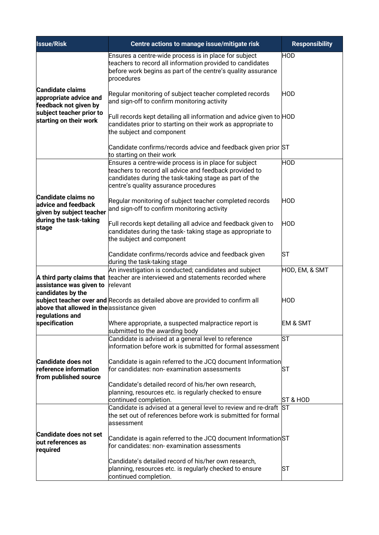| <b>Issue/Risk</b>                                                             | Centre actions to manage issue/mitigate risk                                                                                                                                                                       | <b>Responsibility</b> |
|-------------------------------------------------------------------------------|--------------------------------------------------------------------------------------------------------------------------------------------------------------------------------------------------------------------|-----------------------|
|                                                                               | Ensures a centre-wide process is in place for subject<br>teachers to record all information provided to candidates<br>before work begins as part of the centre's quality assurance<br>procedures                   | <b>HOD</b>            |
| <b>Candidate claims</b><br>appropriate advice and<br>feedback not given by    | Regular monitoring of subject teacher completed records<br>and sign-off to confirm monitoring activity                                                                                                             | <b>HOD</b>            |
| subject teacher prior to<br>starting on their work                            | Full records kept detailing all information and advice given to HOD<br>candidates prior to starting on their work as appropriate to<br>the subject and component                                                   |                       |
|                                                                               | Candidate confirms/records advice and feedback given prior ST<br>to starting on their work                                                                                                                         |                       |
|                                                                               | Ensures a centre-wide process is in place for subject<br>teachers to record all advice and feedback provided to<br>candidates during the task-taking stage as part of the<br>centre's quality assurance procedures | <b>HOD</b>            |
| <b>Candidate claims no</b><br>advice and feedback<br>given by subject teacher | Regular monitoring of subject teacher completed records<br>and sign-off to confirm monitoring activity                                                                                                             | <b>HOD</b>            |
| during the task-taking<br>stage                                               | Full records kept detailing all advice and feedback given to<br>candidates during the task-taking stage as appropriate to<br>the subject and component                                                             | <b>HOD</b>            |
|                                                                               | Candidate confirms/records advice and feedback given<br>during the task-taking stage                                                                                                                               | lSТ                   |
| assistance was given to<br>candidates by the                                  | An investigation is conducted; candidates and subject<br>A third party claims that teacher are interviewed and statements recorded where<br>relevant                                                               | HOD, EM, & SMT        |
| above that allowed in the assistance given<br>regulations and                 | subject teacher over and Records as detailed above are provided to confirm all                                                                                                                                     | HOD                   |
| specification                                                                 | Where appropriate, a suspected malpractice report is<br>submitted to the awarding body                                                                                                                             | <b>EM &amp; SMT</b>   |
|                                                                               | Candidate is advised at a general level to reference<br>information before work is submitted for formal assessment                                                                                                 | lsт                   |
| <b>Candidate does not</b><br>reference information<br>from published source   | Candidate is again referred to the JCQ document Information<br>for candidates: non-examination assessments                                                                                                         | ST                    |
|                                                                               | Candidate's detailed record of his/her own research,<br>planning, resources etc. is regularly checked to ensure<br>continued completion.                                                                           | ST & HOD              |
|                                                                               | Candidate is advised at a general level to review and re-draft ST<br>the set out of references before work is submitted for formal<br>assessment                                                                   |                       |
| <b>Candidate does not set</b><br>out references as<br>required                | Candidate is again referred to the JCQ document InformationST<br>for candidates: non-examination assessments                                                                                                       |                       |
|                                                                               | Candidate's detailed record of his/her own research,<br>planning, resources etc. is regularly checked to ensure<br>continued completion.                                                                           | lSТ                   |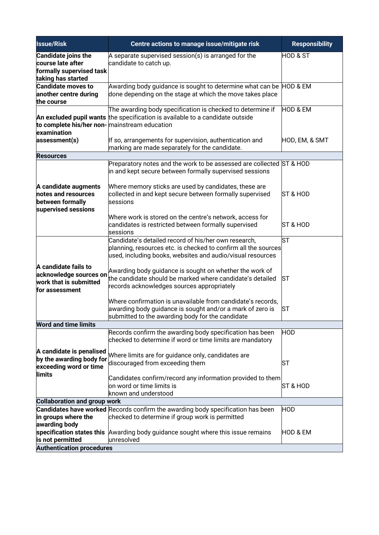| <b>Issue/Risk</b>                                                                                 | Centre actions to manage issue/mitigate risk                                                                                                                                         | <b>Responsibility</b> |
|---------------------------------------------------------------------------------------------------|--------------------------------------------------------------------------------------------------------------------------------------------------------------------------------------|-----------------------|
| <b>Candidate joins the</b><br>course late after<br>formally supervised task<br>taking has started | $\bm{\mathsf{A}}$ separate supervised session(s) is arranged for the<br>candidate to catch up.                                                                                       | HOD & ST              |
| <b>Candidate moves to</b><br>another centre during<br>the course                                  | Awarding body guidance is sought to determine what can be $\parallel$ HOD & EM<br>done depending on the stage at which the move takes place                                          |                       |
| to complete his/her non- mainstream education<br>examination                                      | The awarding body specification is checked to determine if<br>An excluded pupil wants the specification is available to a candidate outside                                          | HOD & EM              |
| assessment(s)                                                                                     | If so, arrangements for supervision, authentication and<br>marking are made separately for the candidate.                                                                            | HOD, EM, & SMT        |
| <b>Resources</b>                                                                                  |                                                                                                                                                                                      |                       |
|                                                                                                   | Preparatory notes and the work to be assessed are collected ST & HOD<br>in and kept secure between formally supervised sessions                                                      |                       |
| A candidate augments<br>notes and resources<br>between formally<br>supervised sessions            | Where memory sticks are used by candidates, these are<br>collected in and kept secure between formally supervised<br>sessions                                                        | ST & HOD              |
|                                                                                                   | Where work is stored on the centre's network, access for<br>candidates is restricted between formally supervised<br>sessions                                                         | ST & HOD              |
|                                                                                                   | Candidate's detailed record of his/her own research,<br>planning, resources etc. is checked to confirm all the sources<br>used, including books, websites and audio/visual resources | ST                    |
| A candidate fails to<br>acknowledge sources on<br>work that is submitted<br>for assessment        | Awarding body guidance is sought on whether the work of<br>the candidate should be marked where candidate's detailed<br>records acknowledges sources appropriately                   | lSТ                   |
|                                                                                                   | Where confirmation is unavailable from candidate's records.<br>awarding body guidance is sought and/or a mark of zero is<br>submitted to the awarding body for the candidate         | lSТ                   |
| <b>Word and time limits</b>                                                                       |                                                                                                                                                                                      |                       |
|                                                                                                   | Records confirm the awarding body specification has been<br>checked to determine if word or time limits are mandatory                                                                | HOD                   |
| A candidate is penalised<br>by the awarding body for<br>exceeding word or time<br><b>limits</b>   | Where limits are for guidance only, candidates are<br>discouraged from exceeding them                                                                                                | ST                    |
|                                                                                                   | Candidates confirm/record any information provided to them<br>on word or time limits is<br>known and understood                                                                      | ST & HOD              |
| <b>Collaboration and group work</b>                                                               |                                                                                                                                                                                      |                       |
| in groups where the<br>awarding body                                                              | Candidates have worked Records confirm the awarding body specification has been<br>checked to determine if group work is permitted                                                   | HOD                   |
| specification states this<br>is not permitted                                                     | Awarding body guidance sought where this issue remains<br>unresolved                                                                                                                 | HOD & EM              |
| <b>Authentication procedures</b>                                                                  |                                                                                                                                                                                      |                       |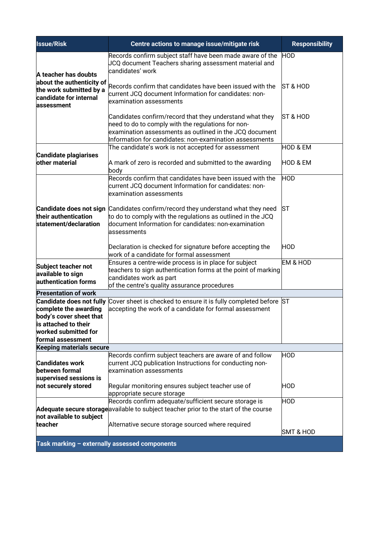| <b>Issue/Risk</b>                                                                                                                                        | Centre actions to manage issue/mitigate risk                                                                                                                                                                                         | <b>Responsibility</b> |  |
|----------------------------------------------------------------------------------------------------------------------------------------------------------|--------------------------------------------------------------------------------------------------------------------------------------------------------------------------------------------------------------------------------------|-----------------------|--|
| A teacher has doubts                                                                                                                                     | Records confirm subject staff have been made aware of the<br>JCQ document Teachers sharing assessment material and<br>candidates' work                                                                                               | <b>HOD</b>            |  |
| about the authenticity of<br>the work submitted by a<br>candidate for internal<br>assessment                                                             | Records confirm that candidates have been issued with the<br>current JCQ document Information for candidates: non-<br>examination assessments                                                                                        | ST & HOD              |  |
|                                                                                                                                                          | Candidates confirm/record that they understand what they<br>need to do to comply with the regulations for non-<br>examination assessments as outlined in the JCQ document<br>Information for candidates: non-examination assessments | ST & HOD              |  |
|                                                                                                                                                          | The candidate's work is not accepted for assessment                                                                                                                                                                                  | HOD & EM              |  |
| <b>Candidate plagiarises</b><br>other material                                                                                                           | A mark of zero is recorded and submitted to the awarding<br>body                                                                                                                                                                     | HOD & EM              |  |
|                                                                                                                                                          | Records confirm that candidates have been issued with the<br>current JCQ document Information for candidates: non-<br>examination assessments                                                                                        | <b>HOD</b>            |  |
| their authentication<br>statement/declaration                                                                                                            | <b>Candidate does not sign</b> Candidates confirm/record they understand what they need<br>to do to comply with the regulations as outlined in the JCQ<br>document Information for candidates: non-examination<br><b>assessments</b> | SТ                    |  |
|                                                                                                                                                          | Declaration is checked for signature before accepting the<br>work of a candidate for formal assessment                                                                                                                               | HOD                   |  |
| Subject teacher not<br>available to sign<br>authentication forms                                                                                         | Ensures a centre-wide process is in place for subject<br>teachers to sign authentication forms at the point of marking<br>candidates work as part<br>of the centre's quality assurance procedures                                    | <b>EM &amp; HOD</b>   |  |
| <b>Presentation of work</b>                                                                                                                              |                                                                                                                                                                                                                                      |                       |  |
| <b>Candidate does not fully</b><br>complete the awarding<br>body's cover sheet that<br>is attached to their<br>worked submitted for<br>formal assessment | Cover sheet is checked to ensure it is fully completed before ST<br>accepting the work of a candidate for formal assessment                                                                                                          |                       |  |
| <b>Keeping materials secure</b>                                                                                                                          | Records confirm subject teachers are aware of and follow                                                                                                                                                                             | <b>HOD</b>            |  |
| <b>Candidates work</b><br>between formal<br>supervised sessions is                                                                                       | current JCQ publication Instructions for conducting non-<br>examination assessments                                                                                                                                                  |                       |  |
| not securely stored                                                                                                                                      | Regular monitoring ensures subject teacher use of<br>appropriate secure storage                                                                                                                                                      | <b>HOD</b>            |  |
| not available to subject                                                                                                                                 | Records confirm adequate/sufficient secure storage is<br>Adequate secure storage available to subject teacher prior to the start of the course                                                                                       | <b>HOD</b>            |  |
| teacher                                                                                                                                                  | Alternative secure storage sourced where required                                                                                                                                                                                    | <b>SMT &amp; HOD</b>  |  |
| Task marking - externally assessed components                                                                                                            |                                                                                                                                                                                                                                      |                       |  |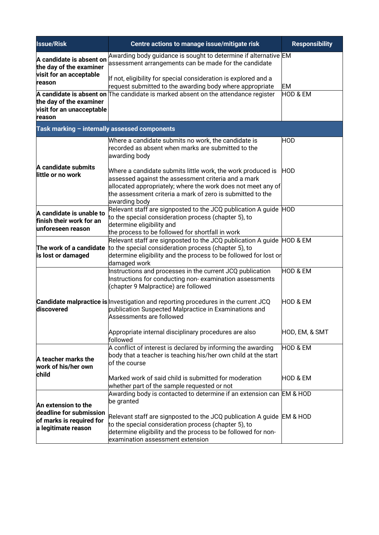| <b>Issue/Risk</b>                                                          | Centre actions to manage issue/mitigate risk                                                                                                                                                                                                                      | <b>Responsibility</b> |  |
|----------------------------------------------------------------------------|-------------------------------------------------------------------------------------------------------------------------------------------------------------------------------------------------------------------------------------------------------------------|-----------------------|--|
| A candidate is absent on<br>the day of the examiner                        | Awarding body guidance is sought to determine if alternative EM<br>assessment arrangements can be made for the candidate                                                                                                                                          |                       |  |
| visit for an acceptable<br>reason                                          | If not, eligibility for special consideration is explored and a<br>request submitted to the awarding body where appropriate                                                                                                                                       | EM                    |  |
| the day of the examiner<br>visit for an unacceptable<br>reason             | A candidate is absent on $\Box$ The candidate is marked absent on the attendance register                                                                                                                                                                         | HOD & EM              |  |
| Task marking - internally assessed components                              |                                                                                                                                                                                                                                                                   |                       |  |
|                                                                            | Where a candidate submits no work, the candidate is<br>recorded as absent when marks are submitted to the<br>awarding body                                                                                                                                        | <b>HOD</b>            |  |
| A candidate submits<br>little or no work                                   | Where a candidate submits little work, the work produced is<br>assessed against the assessment criteria and a mark<br>allocated appropriately; where the work does not meet any of<br>the assessment criteria a mark of zero is submitted to the<br>awarding body | <b>HOD</b>            |  |
| A candidate is unable to<br>finish their work for an<br>unforeseen reason  | Relevant staff are signposted to the JCQ publication A guide HOD<br>to the special consideration process (chapter 5), to<br>determine eligibility and<br>the process to be followed for shortfall in work                                                         |                       |  |
| The work of a candidate<br>is lost or damaged                              | Relevant staff are signposted to the JCQ publication A guide HOD & EM<br>to the special consideration process (chapter 5), to<br>determine eligibility and the process to be followed for lost or<br>damaged work                                                 |                       |  |
| discovered                                                                 | Instructions and processes in the current JCQ publication<br>Instructions for conducting non-examination assessments<br>(chapter 9 Malpractice) are followed                                                                                                      | HOD & EM              |  |
|                                                                            | <b>Candidate malpractice is Investigation and reporting procedures in the current JCQ</b><br>publication Suspected Malpractice in Examinations and<br>Assessments are followed                                                                                    | HOD & EM              |  |
|                                                                            | Appropriate internal disciplinary procedures are also<br>followed                                                                                                                                                                                                 | HOD, EM, & SMT        |  |
| A teacher marks the<br>work of his/her own<br>child                        | A conflict of interest is declared by informing the awarding<br>body that a teacher is teaching his/her own child at the start<br>of the course                                                                                                                   | HOD & EM              |  |
|                                                                            | Marked work of said child is submitted for moderation<br>whether part of the sample requested or not                                                                                                                                                              | HOD & EM              |  |
| An extension to the                                                        | Awarding body is contacted to determine if an extension can EM & HOD<br>be granted                                                                                                                                                                                |                       |  |
| deadline for submission<br>of marks is required for<br>a legitimate reason | Relevant staff are signposted to the JCQ publication A guide EM & HOD<br>to the special consideration process (chapter 5), to<br>determine eligibility and the process to be followed for non-<br>examination assessment extension                                |                       |  |